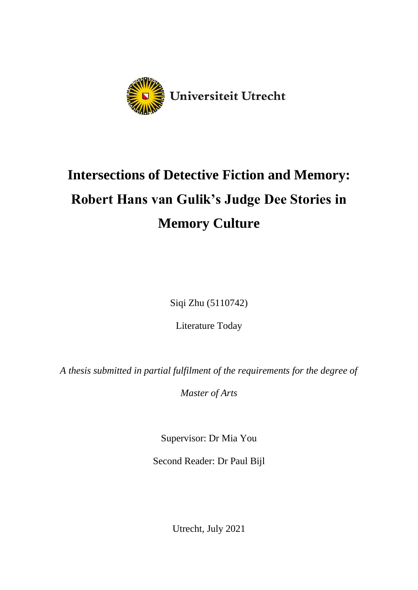

# **Intersections of Detective Fiction and Memory: Robert Hans van Gulik's Judge Dee Stories in Memory Culture**

Siqi Zhu (5110742)

Literature Today

*A thesis submitted in partial fulfilment of the requirements for the degree of* 

*Master of Arts*

Supervisor: Dr Mia You

Second Reader: Dr Paul Bijl

Utrecht, July 2021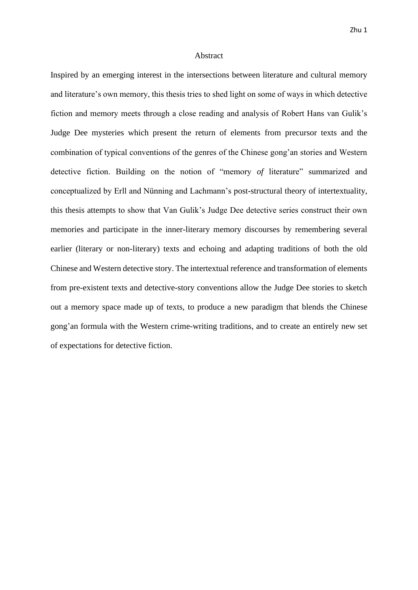### Abstract

Inspired by an emerging interest in the intersections between literature and cultural memory and literature's own memory, this thesis tries to shed light on some of ways in which detective fiction and memory meets through a close reading and analysis of Robert Hans van Gulik's Judge Dee mysteries which present the return of elements from precursor texts and the combination of typical conventions of the genres of the Chinese gong'an stories and Western detective fiction. Building on the notion of "memory *of* literature" summarized and conceptualized by Erll and Nünning and Lachmann's post-structural theory of intertextuality, this thesis attempts to show that Van Gulik's Judge Dee detective series construct their own memories and participate in the inner-literary memory discourses by remembering several earlier (literary or non-literary) texts and echoing and adapting traditions of both the old Chinese and Western detective story. The intertextual reference and transformation of elements from pre-existent texts and detective-story conventions allow the Judge Dee stories to sketch out a memory space made up of texts, to produce a new paradigm that blends the Chinese gong'an formula with the Western crime-writing traditions, and to create an entirely new set of expectations for detective fiction.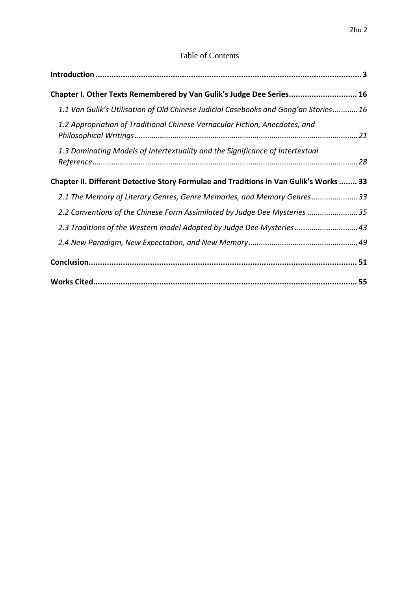### Table of Contents

| Chapter I. Other Texts Remembered by Van Gulik's Judge Dee Series 16                   |  |
|----------------------------------------------------------------------------------------|--|
| 1.1 Van Gulik's Utilisation of Old Chinese Judicial Casebooks and Gong'an Stories16    |  |
| 1.2 Appropriation of Traditional Chinese Vernacular Fiction, Anecdotes, and            |  |
| 1.3 Dominating Models of Intertextuality and the Significance of Intertextual          |  |
| Chapter II. Different Detective Story Formulae and Traditions in Van Gulik's Works  33 |  |
| 2.1 The Memory of Literary Genres, Genre Memories, and Memory Genres33                 |  |
| 2.2 Conventions of the Chinese Form Assimilated by Judge Dee Mysteries 35              |  |
| 2.3 Traditions of the Western model Adopted by Judge Dee Mysteries43                   |  |
|                                                                                        |  |
|                                                                                        |  |
|                                                                                        |  |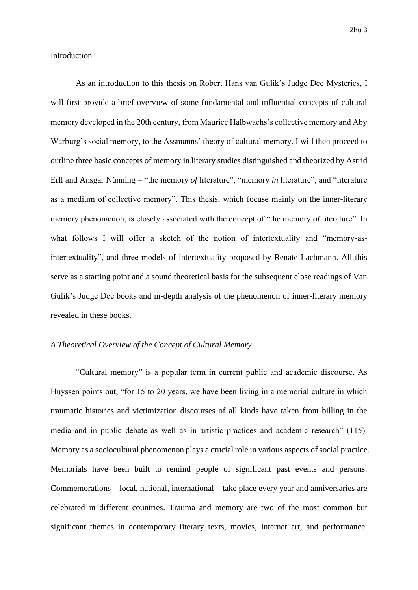### <span id="page-3-0"></span>Introduction

As an introduction to this thesis on Robert Hans van Gulik's Judge Dee Mysteries, I will first provide a brief overview of some fundamental and influential concepts of cultural memory developed in the 20th century, from Maurice Halbwachs's collective memory and Aby Warburg's social memory, to the Assmanns' theory of cultural memory. I will then proceed to outline three basic concepts of memory in literary studies distinguished and theorized by Astrid Erll and Ansgar Nünning – "the memory *of* literature", "memory *in* literature", and "literature as a medium of collective memory". This thesis, which focuse mainly on the inner-literary memory phenomenon, is closely associated with the concept of "the memory *of* literature". In what follows I will offer a sketch of the notion of intertextuality and "memory-asintertextuality", and three models of intertextuality proposed by Renate Lachmann. All this serve as a starting point and a sound theoretical basis for the subsequent close readings of Van Gulik's Judge Dee books and in-depth analysis of the phenomenon of inner-literary memory revealed in these books.

### *A Theoretical Overview of the Concept of Cultural Memory*

"Cultural memory" is a popular term in current public and academic discourse. As Huyssen points out, "for 15 to 20 years, we have been living in a memorial culture in which traumatic histories and victimization discourses of all kinds have taken front billing in the media and in public debate as well as in artistic practices and academic research" (115). Memory as a sociocultural phenomenon plays a crucial role in various aspects of social practice. Memorials have been built to remind people of significant past events and persons. Commemorations – local, national, international – take place every year and anniversaries are celebrated in different countries. Trauma and memory are two of the most common but significant themes in contemporary literary texts, movies, Internet art, and performance.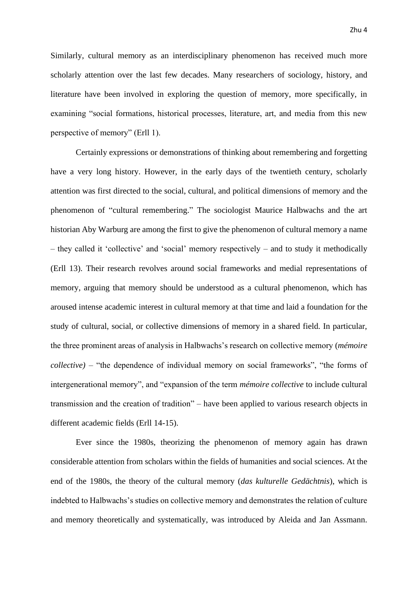Similarly, cultural memory as an interdisciplinary phenomenon has received much more scholarly attention over the last few decades. Many researchers of sociology, history, and literature have been involved in exploring the question of memory, more specifically, in examining "social formations, historical processes, literature, art, and media from this new perspective of memory" (Erll 1).

Certainly expressions or demonstrations of thinking about remembering and forgetting have a very long history. However, in the early days of the twentieth century, scholarly attention was first directed to the social, cultural, and political dimensions of memory and the phenomenon of "cultural remembering." The sociologist Maurice Halbwachs and the art historian Aby Warburg are among the first to give the phenomenon of cultural memory a name – they called it 'collective' and 'social' memory respectively – and to study it methodically (Erll 13). Their research revolves around social frameworks and medial representations of memory, arguing that memory should be understood as a cultural phenomenon, which has aroused intense academic interest in cultural memory at that time and laid a foundation for the study of cultural, social, or collective dimensions of memory in a shared field. In particular, the three prominent areas of analysis in Halbwachs's research on collective memory (*mémoire collective)* – "the dependence of individual memory on social frameworks", "the forms of intergenerational memory", and "expansion of the term *mémoire collective* to include cultural transmission and the creation of tradition" – have been applied to various research objects in different academic fields (Erll 14-15).

Ever since the 1980s, theorizing the phenomenon of memory again has drawn considerable attention from scholars within the fields of humanities and social sciences. At the end of the 1980s, the theory of the cultural memory (*das kulturelle Gedächtnis*), which is indebted to Halbwachs's studies on collective memory and demonstrates the relation of culture and memory theoretically and systematically, was introduced by Aleida and Jan Assmann.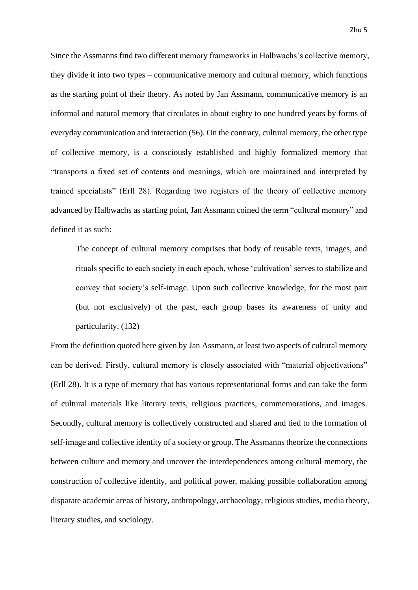Since the Assmanns find two different memory frameworks in Halbwachs's collective memory, they divide it into two types – communicative memory and cultural memory, which functions as the starting point of their theory. As noted by Jan Assmann, communicative memory is an informal and natural memory that circulates in about eighty to one hundred years by forms of everyday communication and interaction (56). On the contrary, cultural memory, the other type of collective memory, is a consciously established and highly formalized memory that "transports a fixed set of contents and meanings, which are maintained and interpreted by trained specialists" (Erll 28). Regarding two registers of the theory of collective memory advanced by Halbwachs as starting point, Jan Assmann coined the term "cultural memory" and defined it as such:

The concept of cultural memory comprises that body of reusable texts, images, and rituals specific to each society in each epoch, whose 'cultivation' serves to stabilize and convey that society's self-image. Upon such collective knowledge, for the most part (but not exclusively) of the past, each group bases its awareness of unity and particularity. (132)

From the definition quoted here given by Jan Assmann, at least two aspects of cultural memory can be derived. Firstly, cultural memory is closely associated with "material objectivations" (Erll 28). It is a type of memory that has various representational forms and can take the form of cultural materials like literary texts, religious practices, commemorations, and images. Secondly, cultural memory is collectively constructed and shared and tied to the formation of self-image and collective identity of a society or group. The Assmanns theorize the connections between culture and memory and uncover the interdependences among cultural memory, the construction of collective identity, and political power, making possible collaboration among disparate academic areas of history, anthropology, archaeology, religious studies, media theory, literary studies, and sociology.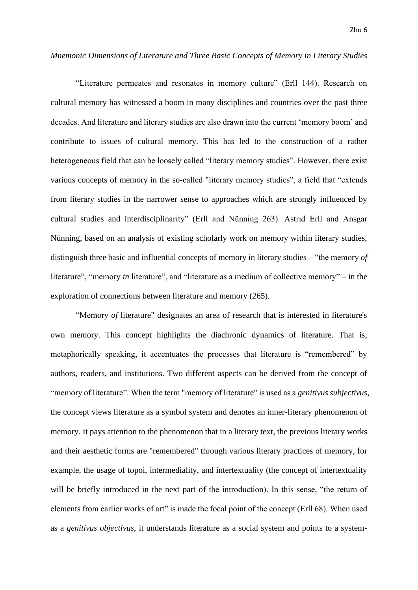### *Mnemonic Dimensions of Literature and Three Basic Concepts of Memory in Literary Studies*

"Literature permeates and resonates in memory culture" (Erll 144). Research on cultural memory has witnessed a boom in many disciplines and countries over the past three decades. And literature and literary studies are also drawn into the current 'memory boom' and contribute to issues of cultural memory. This has led to the construction of a rather heterogeneous field that can be loosely called "literary memory studies". However, there exist various concepts of memory in the so-called "literary memory studies", a field that "extends from literary studies in the narrower sense to approaches which are strongly influenced by cultural studies and interdisciplinarity" (Erll and Nünning 263). Astrid Erll and Ansgar Nünning, based on an analysis of existing scholarly work on memory within literary studies, distinguish three basic and influential concepts of memory in literary studies – "the memory *of* literature", "memory *in* literature", and "literature as a medium of collective memory" – in the exploration of connections between literature and memory (265).

"Memory *of* literature" designates an area of research that is interested in literature's own memory. This concept highlights the diachronic dynamics of literature. That is, metaphorically speaking, it accentuates the processes that literature is "remembered" by authors, readers, and institutions. Two different aspects can be derived from the concept of "memory of literature". When the term "memory of literature" is used as a *genitivus subjectivus*, the concept views literature as a symbol system and denotes an inner-literary phenomenon of memory. It pays attention to the phenomenon that in a literary text, the previous literary works and their aesthetic forms are "remembered" through various literary practices of memory, for example, the usage of topoi, intermediality, and intertextuality (the concept of intertextuality will be briefly introduced in the next part of the introduction). In this sense, "the return of elements from earlier works of art" is made the focal point of the concept (Erll 68). When used as a *genitivus objectivus*, it understands literature as a social system and points to a system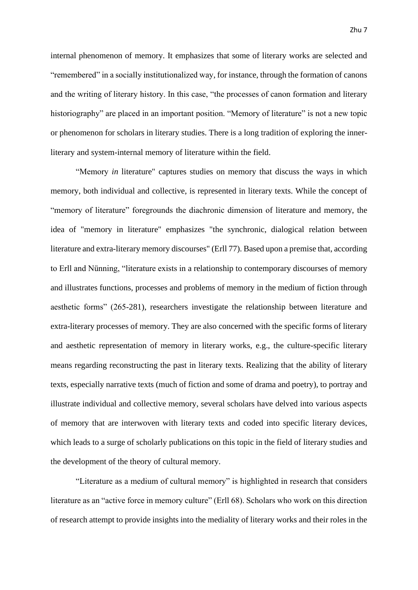internal phenomenon of memory. It emphasizes that some of literary works are selected and "remembered" in a socially institutionalized way, for instance, through the formation of canons and the writing of literary history. In this case, "the processes of canon formation and literary historiography" are placed in an important position. "Memory of literature" is not a new topic or phenomenon for scholars in literary studies. There is a long tradition of exploring the innerliterary and system-internal memory of literature within the field.

"Memory *in* literature" captures studies on memory that discuss the ways in which memory, both individual and collective, is represented in literary texts. While the concept of "memory of literature" foregrounds the diachronic dimension of literature and memory, the idea of "memory in literature" emphasizes "the synchronic, dialogical relation between literature and extra-literary memory discourses" (Erll 77). Based upon a premise that, according to Erll and Nünning, "literature exists in a relationship to contemporary discourses of memory and illustrates functions, processes and problems of memory in the medium of fiction through aesthetic forms" (265-281), researchers investigate the relationship between literature and extra-literary processes of memory. They are also concerned with the specific forms of literary and aesthetic representation of memory in literary works, e.g., the culture-specific literary means regarding reconstructing the past in literary texts. Realizing that the ability of literary texts, especially narrative texts (much of fiction and some of drama and poetry), to portray and illustrate individual and collective memory, several scholars have delved into various aspects of memory that are interwoven with literary texts and coded into specific literary devices, which leads to a surge of scholarly publications on this topic in the field of literary studies and the development of the theory of cultural memory.

"Literature as a medium of cultural memory" is highlighted in research that considers literature as an "active force in memory culture" (Erll 68). Scholars who work on this direction of research attempt to provide insights into the mediality of literary works and their roles in the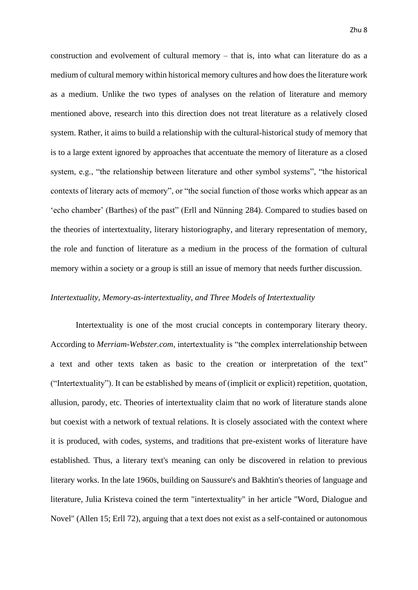construction and evolvement of cultural memory – that is, into what can literature do as a medium of cultural memory within historical memory cultures and how does the literature work as a medium. Unlike the two types of analyses on the relation of literature and memory mentioned above, research into this direction does not treat literature as a relatively closed system. Rather, it aims to build a relationship with the cultural-historical study of memory that is to a large extent ignored by approaches that accentuate the memory of literature as a closed system, e.g., "the relationship between literature and other symbol systems", "the historical contexts of literary acts of memory", or "the social function of those works which appear as an 'echo chamber' (Barthes) of the past" (Erll and Nünning 284). Compared to studies based on the theories of intertextuality, literary historiography, and literary representation of memory, the role and function of literature as a medium in the process of the formation of cultural memory within a society or a group is still an issue of memory that needs further discussion.

### *Intertextuality, Memory-as-intertextuality, and Three Models of Intertextuality*

Intertextuality is one of the most crucial concepts in contemporary literary theory. According to *Merriam-Webster.com*, intertextuality is "the complex interrelationship between a text and other texts taken as basic to the creation or interpretation of the text" ("Intertextuality"). It can be established by means of (implicit or explicit) repetition, quotation, allusion, parody, etc. Theories of intertextuality claim that no work of literature stands alone but coexist with a network of textual relations. It is closely associated with the context where it is produced, with codes, systems, and traditions that pre-existent works of literature have established. Thus, a literary text's meaning can only be discovered in relation to previous literary works. In the late 1960s, building on Saussure's and Bakhtin's theories of language and literature, Julia Kristeva coined the term "intertextuality" in her article "Word, Dialogue and Novel" (Allen 15; Erll 72), arguing that a text does not exist as a self-contained or autonomous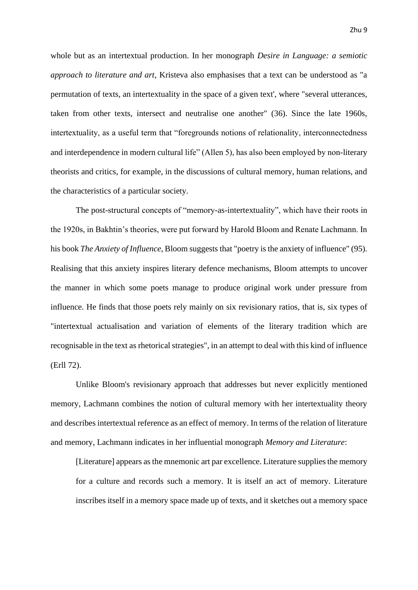whole but as an intertextual production. In her monograph *Desire in Language: a semiotic approach to literature and art*, Kristeva also emphasises that a text can be understood as "a permutation of texts, an intertextuality in the space of a given text', where "several utterances, taken from other texts, intersect and neutralise one another" (36). Since the late 1960s, intertextuality, as a useful term that "foregrounds notions of relationality, interconnectedness and interdependence in modern cultural life" (Allen 5), has also been employed by non-literary theorists and critics, for example, in the discussions of cultural memory, human relations, and the characteristics of a particular society.

The post-structural concepts of "memory-as-intertextuality", which have their roots in the 1920s, in Bakhtin's theories, were put forward by Harold Bloom and Renate Lachmann. In his book *The Anxiety of Influence*, Bloom suggests that "poetry is the anxiety of influence" (95). Realising that this anxiety inspires literary defence mechanisms, Bloom attempts to uncover the manner in which some poets manage to produce original work under pressure from influence. He finds that those poets rely mainly on six revisionary ratios, that is, six types of "intertextual actualisation and variation of elements of the literary tradition which are recognisable in the text as rhetorical strategies", in an attempt to deal with this kind of influence (Erll 72).

Unlike Bloom's revisionary approach that addresses but never explicitly mentioned memory, Lachmann combines the notion of cultural memory with her intertextuality theory and describes intertextual reference as an effect of memory. In terms of the relation of literature and memory, Lachmann indicates in her influential monograph *Memory and Literature*:

[Literature] appears as the mnemonic art par excellence. Literature supplies the memory for a culture and records such a memory. It is itself an act of memory. Literature inscribes itself in a memory space made up of texts, and it sketches out a memory space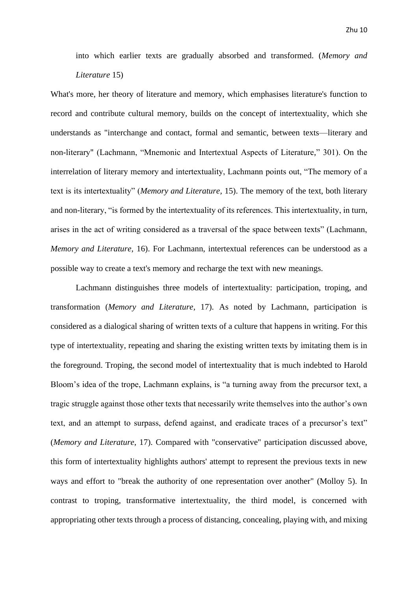into which earlier texts are gradually absorbed and transformed. (*Memory and Literature* 15)

What's more, her theory of literature and memory, which emphasises literature's function to record and contribute cultural memory, builds on the concept of intertextuality, which she understands as "interchange and contact, formal and semantic, between texts—literary and non-literary" (Lachmann, "Mnemonic and Intertextual Aspects of Literature," 301). On the interrelation of literary memory and intertextuality, Lachmann points out, "The memory of a text is its intertextuality" (*Memory and Literature,* 15). The memory of the text, both literary and non-literary, "is formed by the intertextuality of its references. This intertextuality, in turn, arises in the act of writing considered as a traversal of the space between texts" (Lachmann, *Memory and Literature,* 16). For Lachmann, intertextual references can be understood as a possible way to create a text's memory and recharge the text with new meanings.

Lachmann distinguishes three models of intertextuality: participation, troping, and transformation (*Memory and Literature,* 17). As noted by Lachmann, participation is considered as a dialogical sharing of written texts of a culture that happens in writing. For this type of intertextuality, repeating and sharing the existing written texts by imitating them is in the foreground. Troping, the second model of intertextuality that is much indebted to Harold Bloom's idea of the trope, Lachmann explains, is "a turning away from the precursor text, a tragic struggle against those other texts that necessarily write themselves into the author's own text, and an attempt to surpass, defend against, and eradicate traces of a precursor's text" (*Memory and Literature*, 17). Compared with "conservative" participation discussed above, this form of intertextuality highlights authors' attempt to represent the previous texts in new ways and effort to "break the authority of one representation over another" (Molloy 5). In contrast to troping, transformative intertextuality, the third model, is concerned with appropriating other texts through a process of distancing, concealing, playing with, and mixing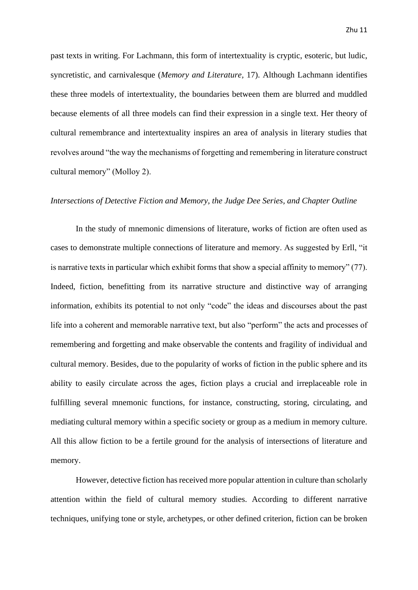past texts in writing. For Lachmann, this form of intertextuality is cryptic, esoteric, but ludic, syncretistic, and carnivalesque (*Memory and Literature,* 17). Although Lachmann identifies these three models of intertextuality, the boundaries between them are blurred and muddled because elements of all three models can find their expression in a single text. Her theory of cultural remembrance and intertextuality inspires an area of analysis in literary studies that revolves around "the way the mechanisms of forgetting and remembering in literature construct cultural memory" (Molloy 2).

### *Intersections of Detective Fiction and Memory, the Judge Dee Series, and Chapter Outline*

In the study of mnemonic dimensions of literature, works of fiction are often used as cases to demonstrate multiple connections of literature and memory. As suggested by Erll, "it is narrative texts in particular which exhibit forms that show a special affinity to memory" (77). Indeed, fiction, benefitting from its narrative structure and distinctive way of arranging information, exhibits its potential to not only "code" the ideas and discourses about the past life into a coherent and memorable narrative text, but also "perform" the acts and processes of remembering and forgetting and make observable the contents and fragility of individual and cultural memory. Besides, due to the popularity of works of fiction in the public sphere and its ability to easily circulate across the ages, fiction plays a crucial and irreplaceable role in fulfilling several mnemonic functions, for instance, constructing, storing, circulating, and mediating cultural memory within a specific society or group as a medium in memory culture. All this allow fiction to be a fertile ground for the analysis of intersections of literature and memory.

However, detective fiction has received more popular attention in culture than scholarly attention within the field of cultural memory studies. According to different narrative techniques, unifying tone or style, archetypes, or other defined criterion, fiction can be broken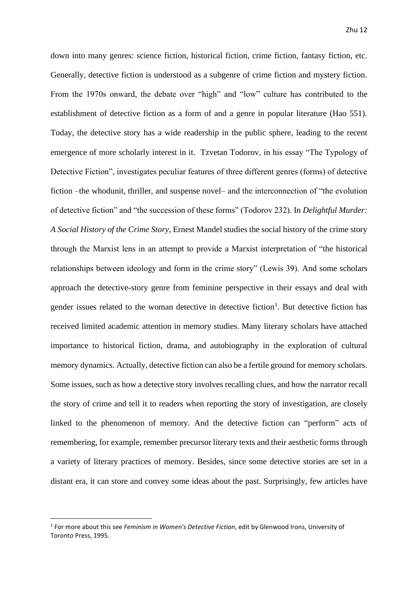down into many genres: science fiction, historical fiction, crime fiction, fantasy fiction, etc. Generally, detective fiction is understood as a subgenre of crime fiction and mystery fiction. From the 1970s onward, the debate over "high" and "low" culture has contributed to the establishment of detective fiction as a form of and a genre in popular literature (Hao 551). Today, the detective story has a wide readership in the public sphere, leading to the recent emergence of more scholarly interest in it. Tzvetan Todorov, in his essay "The Typology of Detective Fiction", investigates peculiar features of three different genres (forms) of detective fiction –the whodunit, thriller, and suspense novel– and the interconnection of "the evolution of detective fiction" and "the succession of these forms" (Todorov 232). In *Delightful Murder: A Social History of the Crime Story*, Ernest Mandel studies the social history of the crime story through the Marxist lens in an attempt to provide a Marxist interpretation of "the historical relationships between ideology and form in the crime story" (Lewis 39). And some scholars approach the detective-story genre from feminine perspective in their essays and deal with gender issues related to the woman detective in detective fiction<sup>1</sup>. But detective fiction has received limited academic attention in memory studies. Many literary scholars have attached importance to historical fiction, drama, and autobiography in the exploration of cultural memory dynamics. Actually, detective fiction can also be a fertile ground for memory scholars. Some issues, such as how a detective story involves recalling clues, and how the narrator recall the story of crime and tell it to readers when reporting the story of investigation, are closely linked to the phenomenon of memory. And the detective fiction can "perform" acts of remembering, for example, remember precursor literary texts and their aesthetic forms through a variety of literary practices of memory. Besides, since some detective stories are set in a distant era, it can store and convey some ideas about the past. Surprisingly, few articles have

<sup>1</sup> For more about this see *Feminism in Women's Detective Fiction*, edit by Glenwood Irons, University of Toronto Press, 1995.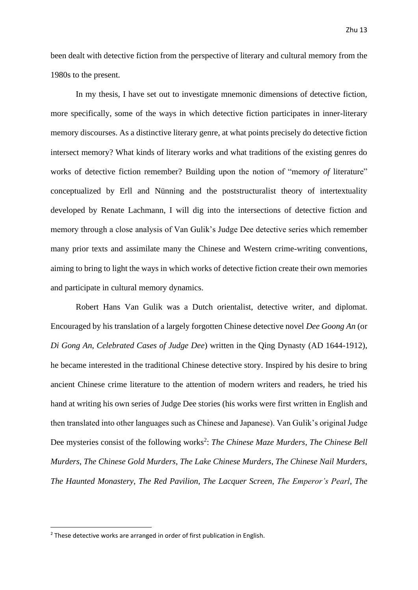been dealt with detective fiction from the perspective of literary and cultural memory from the 1980s to the present.

In my thesis, I have set out to investigate mnemonic dimensions of detective fiction, more specifically, some of the ways in which detective fiction participates in inner-literary memory discourses. As a distinctive literary genre, at what points precisely do detective fiction intersect memory? What kinds of literary works and what traditions of the existing genres do works of detective fiction remember? Building upon the notion of "memory *of* literature" conceptualized by Erll and Nünning and the poststructuralist theory of intertextuality developed by Renate Lachmann, I will dig into the intersections of detective fiction and memory through a close analysis of Van Gulik's Judge Dee detective series which remember many prior texts and assimilate many the Chinese and Western crime-writing conventions, aiming to bring to light the ways in which works of detective fiction create their own memories and participate in cultural memory dynamics.

Robert Hans Van Gulik was a Dutch orientalist, detective writer, and diplomat. Encouraged by his translation of a largely forgotten Chinese detective novel *Dee Goong An* (or *Di Gong An*, *Celebrated Cases of Judge Dee*) written in the Qing Dynasty (AD 1644-1912), he became interested in the traditional Chinese detective story. Inspired by his desire to bring ancient Chinese crime literature to the attention of modern writers and readers, he tried his hand at writing his own series of Judge Dee stories (his works were first written in English and then translated into other languages such as Chinese and Japanese). Van Gulik's original Judge Dee mysteries consist of the following works<sup>2</sup>: *The Chinese Maze Murders*, *The Chinese Bell Murders*, *The Chinese Gold Murders*, *The Lake Chinese Murders*, *The Chinese Nail Murders*, *The Haunted Monastery*, *The Red Pavilion*, *The Lacquer Screen*, *The Emperor's Pearl*, *The* 

 $2$  These detective works are arranged in order of first publication in English.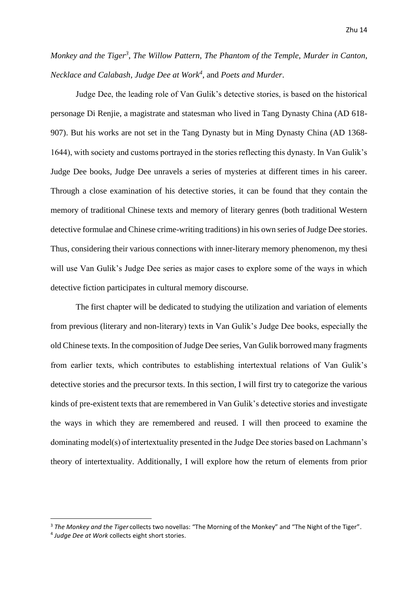*Monkey and the Tiger<sup>3</sup>* , *The Willow Pattern*, *The Phantom of the Temple*, *Murder in Canton*, *Necklace and Calabash*, *Judge Dee at Work<sup>4</sup>* , and *Poets and Murder*.

Judge Dee, the leading role of Van Gulik's detective stories, is based on the historical personage Di Renjie, a magistrate and statesman who lived in Tang Dynasty China (AD 618- 907). But his works are not set in the Tang Dynasty but in Ming Dynasty China (AD 1368- 1644), with society and customs portrayed in the stories reflecting this dynasty. In Van Gulik's Judge Dee books, Judge Dee unravels a series of mysteries at different times in his career. Through a close examination of his detective stories, it can be found that they contain the memory of traditional Chinese texts and memory of literary genres (both traditional Western detective formulae and Chinese crime-writing traditions) in his own series of Judge Dee stories. Thus, considering their various connections with inner-literary memory phenomenon, my thesi will use Van Gulik's Judge Dee series as major cases to explore some of the ways in which detective fiction participates in cultural memory discourse.

The first chapter will be dedicated to studying the utilization and variation of elements from previous (literary and non-literary) texts in Van Gulik's Judge Dee books, especially the old Chinese texts. In the composition of Judge Dee series, Van Gulik borrowed many fragments from earlier texts, which contributes to establishing intertextual relations of Van Gulik's detective stories and the precursor texts. In this section, I will first try to categorize the various kinds of pre-existent texts that are remembered in Van Gulik's detective stories and investigate the ways in which they are remembered and reused. I will then proceed to examine the dominating model(s) of intertextuality presented in the Judge Dee stories based on Lachmann's theory of intertextuality. Additionally, I will explore how the return of elements from prior

<sup>3</sup> *The Monkey and the Tiger* collects two novellas: "The Morning of the Monkey" and "The Night of the Tiger".

<sup>4</sup> *Judge Dee at Work* collects eight short stories.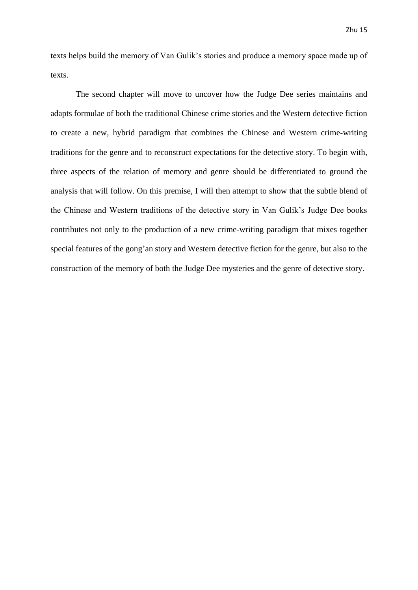texts helps build the memory of Van Gulik's stories and produce a memory space made up of texts.

The second chapter will move to uncover how the Judge Dee series maintains and adapts formulae of both the traditional Chinese crime stories and the Western detective fiction to create a new, hybrid paradigm that combines the Chinese and Western crime-writing traditions for the genre and to reconstruct expectations for the detective story. To begin with, three aspects of the relation of memory and genre should be differentiated to ground the analysis that will follow. On this premise, I will then attempt to show that the subtle blend of the Chinese and Western traditions of the detective story in Van Gulik's Judge Dee books contributes not only to the production of a new crime-writing paradigm that mixes together special features of the gong'an story and Western detective fiction for the genre, but also to the construction of the memory of both the Judge Dee mysteries and the genre of detective story.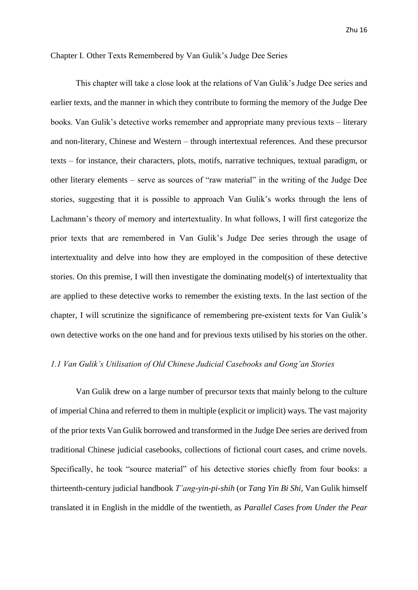### <span id="page-16-0"></span>Chapter I. Other Texts Remembered by Van Gulik's Judge Dee Series

This chapter will take a close look at the relations of Van Gulik's Judge Dee series and earlier texts, and the manner in which they contribute to forming the memory of the Judge Dee books. Van Gulik's detective works remember and appropriate many previous texts – literary and non-literary, Chinese and Western – through intertextual references. And these precursor texts – for instance, their characters, plots, motifs, narrative techniques, textual paradigm, or other literary elements – serve as sources of "raw material" in the writing of the Judge Dee stories, suggesting that it is possible to approach Van Gulik's works through the lens of Lachmann's theory of memory and intertextuality. In what follows, I will first categorize the prior texts that are remembered in Van Gulik's Judge Dee series through the usage of intertextuality and delve into how they are employed in the composition of these detective stories. On this premise, I will then investigate the dominating model(s) of intertextuality that are applied to these detective works to remember the existing texts. In the last section of the chapter, I will scrutinize the significance of remembering pre-existent texts for Van Gulik's own detective works on the one hand and for previous texts utilised by his stories on the other.

### <span id="page-16-1"></span>*1.1 Van Gulik's Utilisation of Old Chinese Judicial Casebooks and Gong'an Stories*

Van Gulik drew on a large number of precursor texts that mainly belong to the culture of imperial China and referred to them in multiple (explicit or implicit) ways. The vast majority of the prior texts Van Gulik borrowed and transformed in the Judge Dee series are derived from traditional Chinese judicial casebooks, collections of fictional court cases, and crime novels. Specifically, he took "source material" of his detective stories chiefly from four books: a thirteenth-century judicial handbook *T'ang-yin-pi-shih* (or *Tang Yin Bi Shi*, Van Gulik himself translated it in English in the middle of the twentieth, as *Parallel Cases from Under the Pear*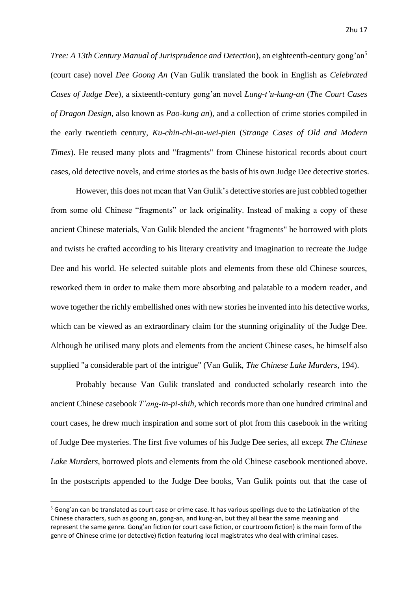*Tree: A 13th Century Manual of Jurisprudence and Detection*), an eighteenth-century gong'an<sup>5</sup> (court case) novel *Dee Goong An* (Van Gulik translated the book in English as *Celebrated Cases of Judge Dee*), a sixteenth-century gong'an novel *Lung-t'u-kung-an* (*The Court Cases of Dragon Design*, also known as *Pao-kung an*), and a collection of crime stories compiled in the early twentieth century, *Ku-chin-chi-an-wei-pien* (*Strange Cases of Old and Modern Times*). He reused many plots and "fragments" from Chinese historical records about court cases, old detective novels, and crime stories as the basis of his own Judge Dee detective stories.

However, this does not mean that Van Gulik's detective stories are just cobbled together from some old Chinese "fragments" or lack originality. Instead of making a copy of these ancient Chinese materials, Van Gulik blended the ancient "fragments" he borrowed with plots and twists he crafted according to his literary creativity and imagination to recreate the Judge Dee and his world. He selected suitable plots and elements from these old Chinese sources, reworked them in order to make them more absorbing and palatable to a modern reader, and wove together the richly embellished ones with new stories he invented into his detective works, which can be viewed as an extraordinary claim for the stunning originality of the Judge Dee. Although he utilised many plots and elements from the ancient Chinese cases, he himself also supplied "a considerable part of the intrigue" (Van Gulik, *The Chinese Lake Murders,* 194).

Probably because Van Gulik translated and conducted scholarly research into the ancient Chinese casebook *T'ang-in-pi-shih,* which records more than one hundred criminal and court cases, he drew much inspiration and some sort of plot from this casebook in the writing of Judge Dee mysteries. The first five volumes of his Judge Dee series, all except *The Chinese Lake Murders*, borrowed plots and elements from the old Chinese casebook mentioned above. In the postscripts appended to the Judge Dee books, Van Gulik points out that the case of

<sup>&</sup>lt;sup>5</sup> Gong'an can be translated as court case or crime case. It has various spellings due to the Latinization of the Chinese characters, such as goong an, gong-an, and kung-an, but they all bear the same meaning and represent the same genre. Gong'an fiction (or court case fiction, or courtroom fiction) is the main form of the genre of Chinese crime (or detective) fiction featuring local magistrates who deal with criminal cases.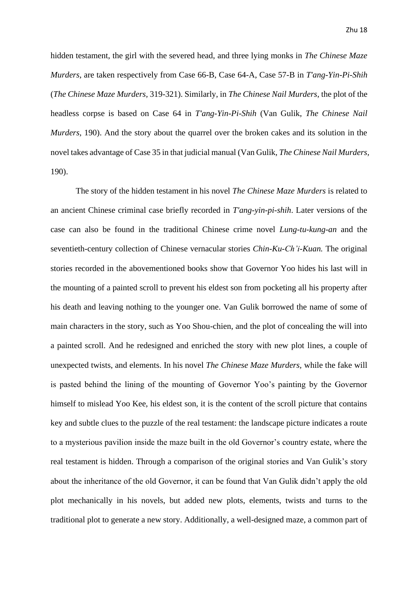hidden testament, the girl with the severed head, and three lying monks in *The Chinese Maze Murders*, are taken respectively from Case 66-B, Case 64-A, Case 57-B in *T'ang-Yin-Pi-Shih*  (*The Chinese Maze Murders,* 319-321). Similarly, in *The Chinese Nail Murders*, the plot of the headless corpse is based on Case 64 in *T'ang-Yin-Pi-Shih* (Van Gulik, *The Chinese Nail Murders,* 190). And the story about the quarrel over the broken cakes and its solution in the novel takes advantage of Case 35 in that judicial manual (Van Gulik, *The Chinese Nail Murders,* 190).

The story of the hidden testament in his novel *The Chinese Maze Murders* is related to an ancient Chinese criminal case briefly recorded in *T'ang-yin-pi-shih*. Later versions of the case can also be found in the traditional Chinese crime novel *Lung-tu-kung-an* and the seventieth-century collection of Chinese vernacular stories *Chin-Ku-Ch'i-Kuan.* The original stories recorded in the abovementioned books show that Governor Yoo hides his last will in the mounting of a painted scroll to prevent his eldest son from pocketing all his property after his death and leaving nothing to the younger one. Van Gulik borrowed the name of some of main characters in the story, such as Yoo Shou-chien, and the plot of concealing the will into a painted scroll. And he redesigned and enriched the story with new plot lines, a couple of unexpected twists, and elements. In his novel *The Chinese Maze Murders,* while the fake will is pasted behind the lining of the mounting of Governor Yoo's painting by the Governor himself to mislead Yoo Kee, his eldest son, it is the content of the scroll picture that contains key and subtle clues to the puzzle of the real testament: the landscape picture indicates a route to a mysterious pavilion inside the maze built in the old Governor's country estate, where the real testament is hidden. Through a comparison of the original stories and Van Gulik's story about the inheritance of the old Governor, it can be found that Van Gulik didn't apply the old plot mechanically in his novels, but added new plots, elements, twists and turns to the traditional plot to generate a new story. Additionally, a well-designed maze, a common part of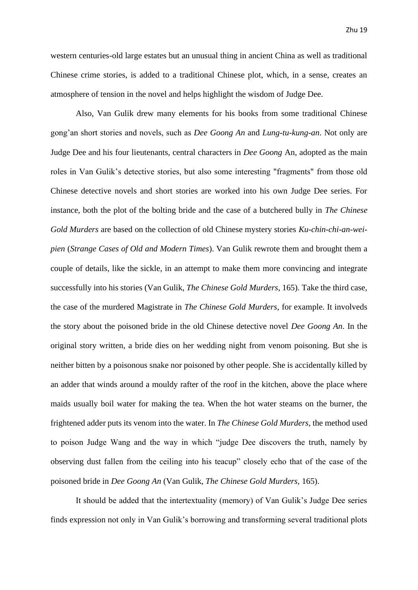western centuries-old large estates but an unusual thing in ancient China as well as traditional Chinese crime stories, is added to a traditional Chinese plot, which, in a sense, creates an atmosphere of tension in the novel and helps highlight the wisdom of Judge Dee.

Also, Van Gulik drew many elements for his books from some traditional Chinese gong'an short stories and novels, such as *Dee Goong An* and *Lung-tu-kung-an*. Not only are Judge Dee and his four lieutenants, central characters in *Dee Goong* An, adopted as the main roles in Van Gulik's detective stories, but also some interesting "fragments" from those old Chinese detective novels and short stories are worked into his own Judge Dee series. For instance, both the plot of the bolting bride and the case of a butchered bully in *The Chinese Gold Murders* are based on the collection of old Chinese mystery stories *Ku-chin-chi-an-weipien* (*Strange Cases of Old and Modern Times*). Van Gulik rewrote them and brought them a couple of details, like the sickle, in an attempt to make them more convincing and integrate successfully into his stories (Van Gulik, *The Chinese Gold Murders*, 165). Take the third case, the case of the murdered Magistrate in *The Chinese Gold Murders*, for example. It involveds the story about the poisoned bride in the old Chinese detective novel *Dee Goong An*. In the original story written, a bride dies on her wedding night from venom poisoning. But she is neither bitten by a poisonous snake nor poisoned by other people. She is accidentally killed by an adder that winds around a mouldy rafter of the roof in the kitchen, above the place where maids usually boil water for making the tea. When the hot water steams on the burner, the frightened adder puts its venom into the water. In *The Chinese Gold Murders*, the method used to poison Judge Wang and the way in which "judge Dee discovers the truth, namely by observing dust fallen from the ceiling into his teacup" closely echo that of the case of the poisoned bride in *Dee Goong An* (Van Gulik, *The Chinese Gold Murders,* 165).

It should be added that the intertextuality (memory) of Van Gulik's Judge Dee series finds expression not only in Van Gulik's borrowing and transforming several traditional plots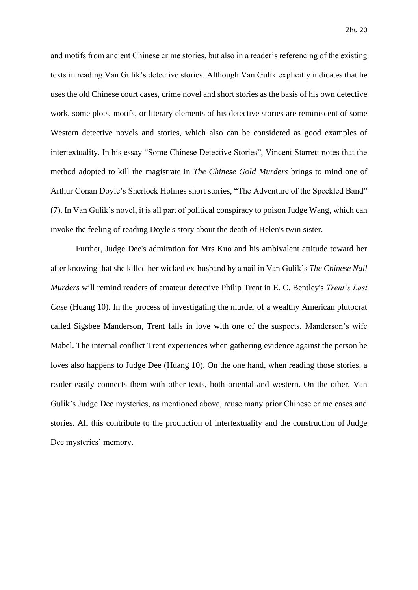and motifs from ancient Chinese crime stories, but also in a reader's referencing of the existing texts in reading Van Gulik's detective stories. Although Van Gulik explicitly indicates that he uses the old Chinese court cases, crime novel and short stories as the basis of his own detective work, some plots, motifs, or literary elements of his detective stories are reminiscent of some Western detective novels and stories, which also can be considered as good examples of intertextuality. In his essay "Some Chinese Detective Stories", Vincent Starrett notes that the method adopted to kill the magistrate in *The Chinese Gold Murders* brings to mind one of Arthur Conan Doyle's Sherlock Holmes short stories, "The Adventure of the Speckled Band" (7). In Van Gulik's novel, it is all part of political conspiracy to poison Judge Wang, which can invoke the feeling of reading Doyle's story about the death of Helen's twin sister.

Further, Judge Dee's admiration for Mrs Kuo and his ambivalent attitude toward her after knowing that she killed her wicked ex-husband by a nail in Van Gulik's *The Chinese Nail Murders* will remind readers of amateur detective Philip Trent in E. C. Bentley's *Trent's Last Case* (Huang 10). In the process of investigating the murder of a wealthy American plutocrat called Sigsbee Manderson, Trent falls in love with one of the suspects, Manderson's wife Mabel. The internal conflict Trent experiences when gathering evidence against the person he loves also happens to Judge Dee (Huang 10). On the one hand, when reading those stories, a reader easily connects them with other texts, both oriental and western. On the other, Van Gulik's Judge Dee mysteries, as mentioned above, reuse many prior Chinese crime cases and stories. All this contribute to the production of intertextuality and the construction of Judge Dee mysteries' memory.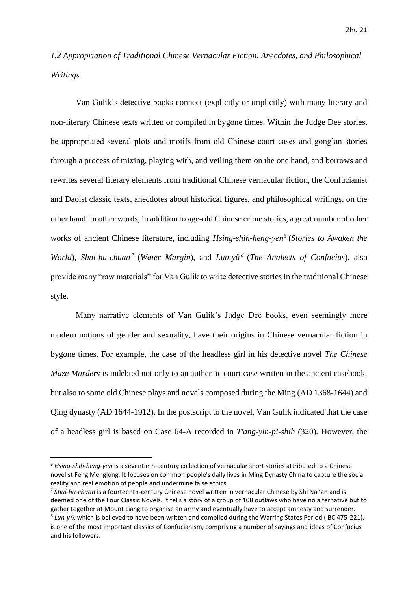## <span id="page-21-0"></span>*1.2 Appropriation of Traditional Chinese Vernacular Fiction, Anecdotes, and Philosophical Writings*

Van Gulik's detective books connect (explicitly or implicitly) with many literary and non-literary Chinese texts written or compiled in bygone times. Within the Judge Dee stories, he appropriated several plots and motifs from old Chinese court cases and gong'an stories through a process of mixing, playing with, and veiling them on the one hand, and borrows and rewrites several literary elements from traditional Chinese vernacular fiction, the Confucianist and Daoist classic texts, anecdotes about historical figures, and philosophical writings, on the other hand. In other words, in addition to age-old Chinese crime stories, a great number of other works of ancient Chinese literature, including *Hsing-shih-heng-yen<sup>6</sup>* (*Stories to Awaken the World*), *Shui-hu-chuan <sup>7</sup>* (*Water Margin*), and *Lun-yü<sup>8</sup>* (*The Analects of Confucius*), also provide many "raw materials" for Van Gulik to write detective stories in the traditional Chinese style.

Many narrative elements of Van Gulik's Judge Dee books, even seemingly more modern notions of gender and sexuality, have their origins in Chinese vernacular fiction in bygone times. For example, the case of the headless girl in his detective novel *The Chinese Maze Murders* is indebted not only to an authentic court case written in the ancient casebook, but also to some old Chinese plays and novels composed during the Ming (AD 1368-1644) and Qing dynasty (AD 1644-1912). In the postscript to the novel, Van Gulik indicated that the case of a headless girl is based on Case 64-A recorded in *T'ang-yin-pi-shih* (320)*.* However, the

<sup>6</sup> *Hsing-shih-heng-yen* is a seventieth-century collection of vernacular short stories attributed to a Chinese novelist Feng Menglong. It focuses on common people's daily lives in Ming Dynasty China to capture the social reality and real emotion of people and undermine false ethics.

<sup>7</sup> *Shui-hu-chuan* is a fourteenth-century Chinese novel written in vernacular Chinese by Shi Nai'an and is deemed one of the Four Classic Novels. It tells a story of a group of 108 outlaws who have no alternative but to gather together at Mount Liang to organise an army and eventually have to accept amnesty and surrender. 8 *Lun-y*ü, which is believed to have been written and compiled during the Warring States Period ( BC 475-221), is one of the most important classics of Confucianism, comprising a number of sayings and ideas of Confucius and his followers.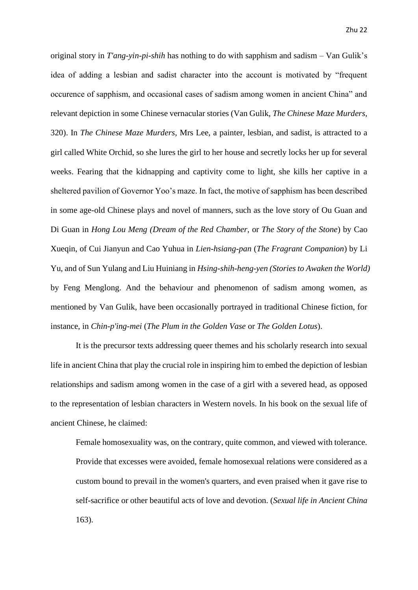original story in *T'ang-yin-pi-shih* has nothing to do with sapphism and sadism – Van Gulik's idea of adding a lesbian and sadist character into the account is motivated by "frequent occurence of sapphism, and occasional cases of sadism among women in ancient China" and relevant depiction in some Chinese vernacular stories (Van Gulik, *The Chinese Maze Murders,* 320). In *The Chinese Maze Murders*, Mrs Lee, a painter, lesbian, and sadist, is attracted to a girl called White Orchid, so she lures the girl to her house and secretly locks her up for several weeks. Fearing that the kidnapping and captivity come to light, she kills her captive in a sheltered pavilion of Governor Yoo's maze. In fact, the motive of sapphism has been described in some age-old Chinese plays and novel of manners, such as the love story of Ou Guan and Di Guan in *Hong Lou Meng (Dream of the Red Chamber,* or *The Story of the Stone*) by Cao Xueqin, of Cui Jianyun and Cao Yuhua in *Lien-hsiang-pan* (*The Fragrant Companion*) by Li Yu, and of Sun Yulang and Liu Huiniang in *Hsing-shih-heng-yen (Stories to Awaken the World)* by Feng Menglong. And the behaviour and phenomenon of sadism among women, as mentioned by Van Gulik, have been occasionally portrayed in traditional Chinese fiction, for instance, in *Chin-p'ing-mei* (*The Plum in the Golden Vase* or *The Golden Lotus*).

It is the precursor texts addressing queer themes and his scholarly research into sexual life in ancient China that play the crucial role in inspiring him to embed the depiction of lesbian relationships and sadism among women in the case of a girl with a severed head, as opposed to the representation of lesbian characters in Western novels. In his book on the sexual life of ancient Chinese, he claimed:

Female homosexuality was, on the contrary, quite common, and viewed with tolerance. Provide that excesses were avoided, female homosexual relations were considered as a custom bound to prevail in the women's quarters, and even praised when it gave rise to self-sacrifice or other beautiful acts of love and devotion. (*Sexual life in Ancient China* 163).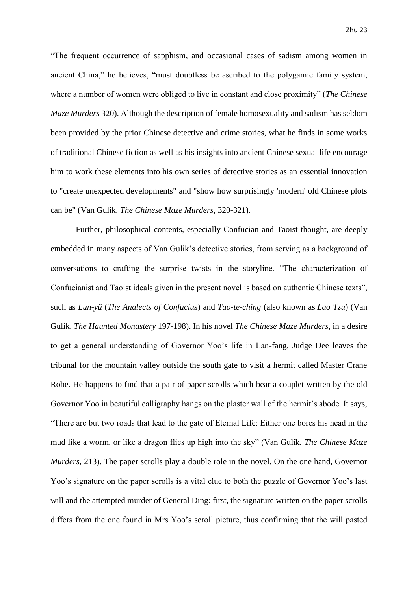"The frequent occurrence of sapphism, and occasional cases of sadism among women in ancient China," he believes, "must doubtless be ascribed to the polygamic family system, where a number of women were obliged to live in constant and close proximity" (*The Chinese Maze Murders* 320). Although the description of female homosexuality and sadism has seldom been provided by the prior Chinese detective and crime stories, what he finds in some works of traditional Chinese fiction as well as his insights into ancient Chinese sexual life encourage him to work these elements into his own series of detective stories as an essential innovation to "create unexpected developments" and "show how surprisingly 'modern' old Chinese plots can be" (Van Gulik, *The Chinese Maze Murders,* 320-321).

Further, philosophical contents, especially Confucian and Taoist thought, are deeply embedded in many aspects of Van Gulik's detective stories, from serving as a background of conversations to crafting the surprise twists in the storyline. "The characterization of Confucianist and Taoist ideals given in the present novel is based on authentic Chinese texts", such as *Lun-yü* (*The Analects of Confucius*) and *Tao-te-ching* (also known as *Lao Tzu*) (Van Gulik, *The Haunted Monastery* 197-198). In his novel *The Chinese Maze Murders*, in a desire to get a general understanding of Governor Yoo's life in Lan-fang, Judge Dee leaves the tribunal for the mountain valley outside the south gate to visit a hermit called Master Crane Robe. He happens to find that a pair of paper scrolls which bear a couplet written by the old Governor Yoo in beautiful calligraphy hangs on the plaster wall of the hermit's abode. It says, "There are but two roads that lead to the gate of Eternal Life: Either one bores his head in the mud like a worm, or like a dragon flies up high into the sky" (Van Gulik, *The Chinese Maze Murders,* 213). The paper scrolls play a double role in the novel. On the one hand, Governor Yoo's signature on the paper scrolls is a vital clue to both the puzzle of Governor Yoo's last will and the attempted murder of General Ding: first, the signature written on the paper scrolls differs from the one found in Mrs Yoo's scroll picture, thus confirming that the will pasted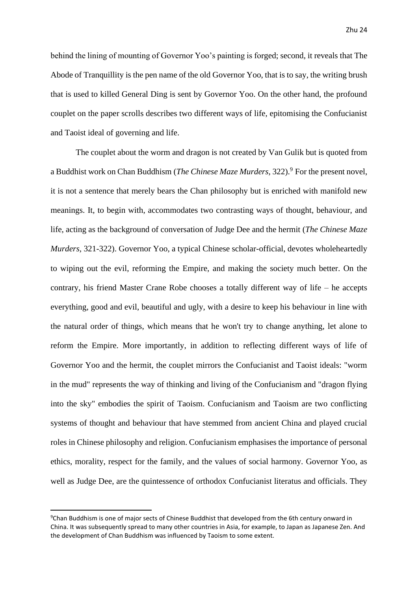behind the lining of mounting of Governor Yoo's painting is forged; second, it reveals that The Abode of Tranquillity is the pen name of the old Governor Yoo, that is to say, the writing brush that is used to killed General Ding is sent by Governor Yoo. On the other hand, the profound couplet on the paper scrolls describes two different ways of life, epitomising the Confucianist and Taoist ideal of governing and life.

The couplet about the worm and dragon is not created by Van Gulik but is quoted from a Buddhist work on Chan Buddhism (*The Chinese Maze Murders*, 322).<sup>9</sup> For the present novel. it is not a sentence that merely bears the Chan philosophy but is enriched with manifold new meanings. It, to begin with, accommodates two contrasting ways of thought, behaviour, and life, acting as the background of conversation of Judge Dee and the hermit (*The Chinese Maze Murders,* 321-322). Governor Yoo, a typical Chinese scholar-official, devotes wholeheartedly to wiping out the evil, reforming the Empire, and making the society much better. On the contrary, his friend Master Crane Robe chooses a totally different way of life – he accepts everything, good and evil, beautiful and ugly, with a desire to keep his behaviour in line with the natural order of things, which means that he won't try to change anything, let alone to reform the Empire. More importantly, in addition to reflecting different ways of life of Governor Yoo and the hermit, the couplet mirrors the Confucianist and Taoist ideals: "worm in the mud" represents the way of thinking and living of the Confucianism and "dragon flying into the sky" embodies the spirit of Taoism. Confucianism and Taoism are two conflicting systems of thought and behaviour that have stemmed from ancient China and played crucial roles in Chinese philosophy and religion. Confucianism emphasises the importance of personal ethics, morality, respect for the family, and the values of social harmony. Governor Yoo, as well as Judge Dee, are the quintessence of orthodox Confucianist literatus and officials. They

<sup>9</sup>Chan Buddhism is one of major sects of Chinese Buddhist that developed from the 6th century onward in China. It was subsequently spread to many other countries in Asia, for example, to Japan as Japanese Zen. And the development of Chan Buddhism was influenced by Taoism to some extent.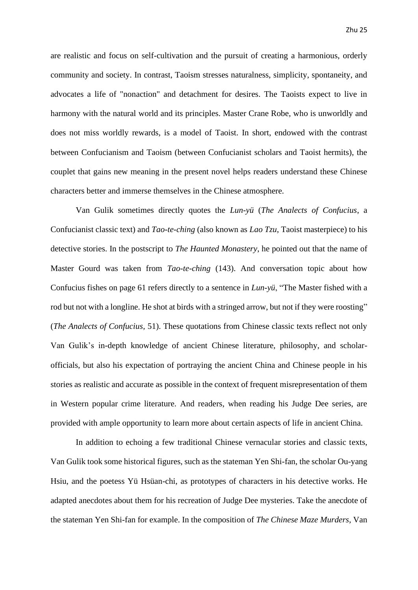are realistic and focus on self-cultivation and the pursuit of creating a harmonious, orderly community and society. In contrast, Taoism stresses naturalness, simplicity, spontaneity, and advocates a life of "nonaction" and detachment for desires. The Taoists expect to live in harmony with the natural world and its principles. Master Crane Robe, who is unworldly and does not miss worldly rewards, is a model of Taoist. In short, endowed with the contrast between Confucianism and Taoism (between Confucianist scholars and Taoist hermits), the couplet that gains new meaning in the present novel helps readers understand these Chinese characters better and immerse themselves in the Chinese atmosphere.

Van Gulik sometimes directly quotes the *Lun-yü* (*The Analects of Confucius*, a Confucianist classic text) and *Tao-te-ching* (also known as *Lao Tzu*, Taoist masterpiece) to his detective stories. In the postscript to *The Haunted Monastery*, he pointed out that the name of Master Gourd was taken from *Tao-te-ching* (143). And conversation topic about how Confucius fishes on page 61 refers directly to a sentence in *Lun-yü*, "The Master fished with a rod but not with a longline. He shot at birds with a stringed arrow, but not if they were roosting" (*The Analects of Confucius,* 51). These quotations from Chinese classic texts reflect not only Van Gulik's in-depth knowledge of ancient Chinese literature, philosophy, and scholarofficials, but also his expectation of portraying the ancient China and Chinese people in his stories as realistic and accurate as possible in the context of frequent misrepresentation of them in Western popular crime literature. And readers, when reading his Judge Dee series, are provided with ample opportunity to learn more about certain aspects of life in ancient China.

In addition to echoing a few traditional Chinese vernacular stories and classic texts, Van Gulik took some historical figures, such as the stateman Yen Shi-fan, the scholar Ou-yang Hsiu, and the poetess Yü Hsüan-chi, as prototypes of characters in his detective works. He adapted anecdotes about them for his recreation of Judge Dee mysteries. Take the anecdote of the stateman Yen Shi-fan for example. In the composition of *The Chinese Maze Murders*, Van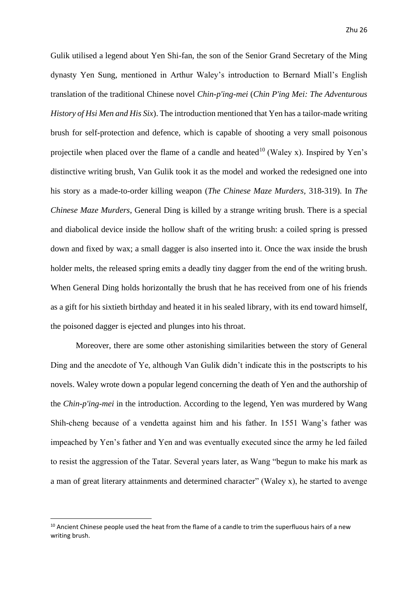Gulik utilised a legend about Yen Shi-fan, the son of the Senior Grand Secretary of the Ming dynasty Yen Sung, mentioned in Arthur Waley's introduction to Bernard Miall's English translation of the traditional Chinese novel *Chin-p'ing-mei* (*Chin P'ing Mei: The Adventurous History of Hsi Men and His Six*). The introduction mentioned that Yen has a tailor-made writing brush for self-protection and defence, which is capable of shooting a very small poisonous projectile when placed over the flame of a candle and heated<sup>10</sup> (Waley x). Inspired by Yen's distinctive writing brush, Van Gulik took it as the model and worked the redesigned one into his story as a made-to-order killing weapon (*The Chinese Maze Murders,* 318-319). In *The Chinese Maze Murders*, General Ding is killed by a strange writing brush. There is a special and diabolical device inside the hollow shaft of the writing brush: a coiled spring is pressed down and fixed by wax; a small dagger is also inserted into it. Once the wax inside the brush holder melts, the released spring emits a deadly tiny dagger from the end of the writing brush. When General Ding holds horizontally the brush that he has received from one of his friends as a gift for his sixtieth birthday and heated it in his sealed library, with its end toward himself, the poisoned dagger is ejected and plunges into his throat.

Moreover, there are some other astonishing similarities between the story of General Ding and the anecdote of Ye, although Van Gulik didn't indicate this in the postscripts to his novels. Waley wrote down a popular legend concerning the death of Yen and the authorship of the *Chin-p'ing-mei* in the introduction. According to the legend, Yen was murdered by Wang Shih-cheng because of a vendetta against him and his father. In 1551 Wang's father was impeached by Yen's father and Yen and was eventually executed since the army he led failed to resist the aggression of the Tatar. Several years later, as Wang "begun to make his mark as a man of great literary attainments and determined character" (Waley x), he started to avenge

<sup>&</sup>lt;sup>10</sup> Ancient Chinese people used the heat from the flame of a candle to trim the superfluous hairs of a new writing brush.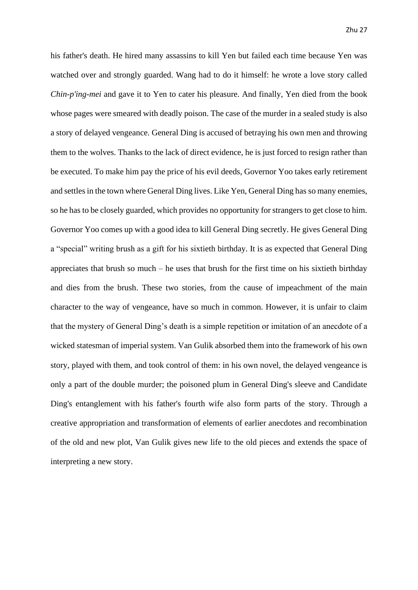his father's death. He hired many assassins to kill Yen but failed each time because Yen was watched over and strongly guarded. Wang had to do it himself: he wrote a love story called *Chin-p'ing-mei* and gave it to Yen to cater his pleasure. And finally, Yen died from the book whose pages were smeared with deadly poison. The case of the murder in a sealed study is also a story of delayed vengeance. General Ding is accused of betraying his own men and throwing them to the wolves. Thanks to the lack of direct evidence, he is just forced to resign rather than be executed. To make him pay the price of his evil deeds, Governor Yoo takes early retirement and settles in the town where General Ding lives. Like Yen, General Ding has so many enemies, so he has to be closely guarded, which provides no opportunity for strangers to get close to him. Governor Yoo comes up with a good idea to kill General Ding secretly. He gives General Ding a "special" writing brush as a gift for his sixtieth birthday. It is as expected that General Ding appreciates that brush so much – he uses that brush for the first time on his sixtieth birthday and dies from the brush. These two stories, from the cause of impeachment of the main character to the way of vengeance, have so much in common. However, it is unfair to claim that the mystery of General Ding's death is a simple repetition or imitation of an anecdote of a wicked statesman of imperial system. Van Gulik absorbed them into the framework of his own story, played with them, and took control of them: in his own novel, the delayed vengeance is only a part of the double murder; the poisoned plum in General Ding's sleeve and Candidate Ding's entanglement with his father's fourth wife also form parts of the story. Through a creative appropriation and transformation of elements of earlier anecdotes and recombination of the old and new plot, Van Gulik gives new life to the old pieces and extends the space of interpreting a new story.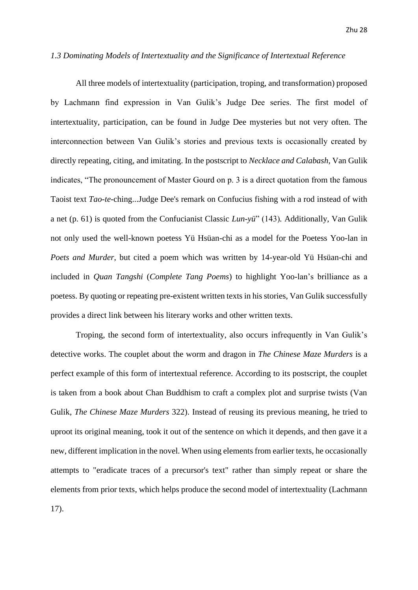### <span id="page-28-0"></span>*1.3 Dominating Models of Intertextuality and the Significance of Intertextual Reference*

All three models of intertextuality (participation, troping, and transformation) proposed by Lachmann find expression in Van Gulik's Judge Dee series. The first model of intertextuality, participation, can be found in Judge Dee mysteries but not very often. The interconnection between Van Gulik's stories and previous texts is occasionally created by directly repeating, citing, and imitating. In the postscript to *Necklace and Calabash*, Van Gulik indicates, "The pronouncement of Master Gourd on p. 3 is a direct quotation from the famous Taoist text *Tao-te-*ching...Judge Dee's remark on Confucius fishing with a rod instead of with a net (p. 61) is quoted from the Confucianist Classic *Lun-yü*" (143)*.* Additionally, Van Gulik not only used the well-known poetess Yü Hsüan-chi as a model for the Poetess Yoo-lan in *Poets and Murder*, but cited a poem which was written by 14-year-old Yü Hsüan-chi and included in *Quan Tangshi* (*Complete Tang Poems*) to highlight Yoo-lan's brilliance as a poetess. By quoting or repeating pre-existent written texts in his stories, Van Gulik successfully provides a direct link between his literary works and other written texts.

Troping, the second form of intertextuality, also occurs infrequently in Van Gulik's detective works. The couplet about the worm and dragon in *The Chinese Maze Murders* is a perfect example of this form of intertextual reference. According to its postscript, the couplet is taken from a book about Chan Buddhism to craft a complex plot and surprise twists (Van Gulik, *The Chinese Maze Murders* 322). Instead of reusing its previous meaning, he tried to uproot its original meaning, took it out of the sentence on which it depends, and then gave it a new, different implication in the novel. When using elements from earlier texts, he occasionally attempts to "eradicate traces of a precursor's text" rather than simply repeat or share the elements from prior texts, which helps produce the second model of intertextuality (Lachmann 17).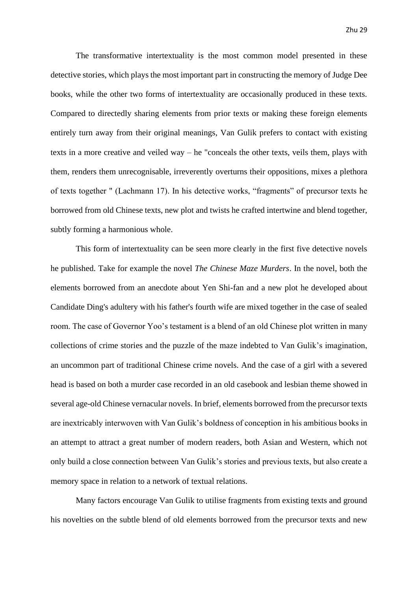The transformative intertextuality is the most common model presented in these detective stories, which plays the most important part in constructing the memory of Judge Dee books, while the other two forms of intertextuality are occasionally produced in these texts. Compared to directedly sharing elements from prior texts or making these foreign elements entirely turn away from their original meanings, Van Gulik prefers to contact with existing texts in a more creative and veiled way – he "conceals the other texts, veils them, plays with them, renders them unrecognisable, irreverently overturns their oppositions, mixes a plethora of texts together " (Lachmann 17). In his detective works, "fragments" of precursor texts he borrowed from old Chinese texts, new plot and twists he crafted intertwine and blend together, subtly forming a harmonious whole.

This form of intertextuality can be seen more clearly in the first five detective novels he published. Take for example the novel *The Chinese Maze Murders*. In the novel, both the elements borrowed from an anecdote about Yen Shi-fan and a new plot he developed about Candidate Ding's adultery with his father's fourth wife are mixed together in the case of sealed room. The case of Governor Yoo's testament is a blend of an old Chinese plot written in many collections of crime stories and the puzzle of the maze indebted to Van Gulik's imagination, an uncommon part of traditional Chinese crime novels. And the case of a girl with a severed head is based on both a murder case recorded in an old casebook and lesbian theme showed in several age-old Chinese vernacular novels. In brief, elements borrowed from the precursor texts are inextricably interwoven with Van Gulik's boldness of conception in his ambitious books in an attempt to attract a great number of modern readers, both Asian and Western, which not only build a close connection between Van Gulik's stories and previous texts, but also create a memory space in relation to a network of textual relations.

Many factors encourage Van Gulik to utilise fragments from existing texts and ground his novelties on the subtle blend of old elements borrowed from the precursor texts and new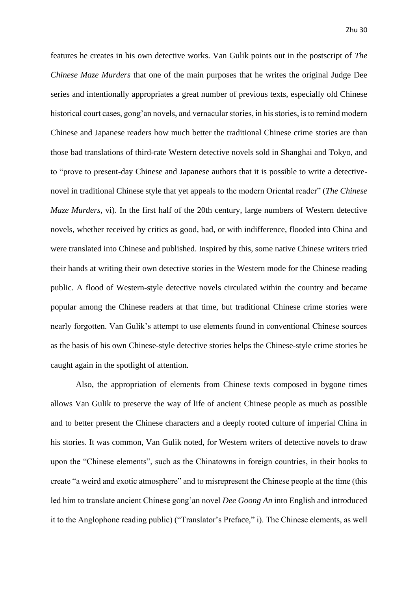features he creates in his own detective works. Van Gulik points out in the postscript of *The Chinese Maze Murders* that one of the main purposes that he writes the original Judge Dee series and intentionally appropriates a great number of previous texts, especially old Chinese historical court cases, gong'an novels, and vernacular stories, in his stories, is to remind modern Chinese and Japanese readers how much better the traditional Chinese crime stories are than those bad translations of third-rate Western detective novels sold in Shanghai and Tokyo, and to "prove to present-day Chinese and Japanese authors that it is possible to write a detectivenovel in traditional Chinese style that yet appeals to the modern Oriental reader" (*The Chinese Maze Murders,* vi). In the first half of the 20th century, large numbers of Western detective novels, whether received by critics as good, bad, or with indifference, flooded into China and were translated into Chinese and published. Inspired by this, some native Chinese writers tried their hands at writing their own detective stories in the Western mode for the Chinese reading public. A flood of Western-style detective novels circulated within the country and became popular among the Chinese readers at that time, but traditional Chinese crime stories were nearly forgotten. Van Gulik's attempt to use elements found in conventional Chinese sources as the basis of his own Chinese-style detective stories helps the Chinese-style crime stories be caught again in the spotlight of attention.

Also, the appropriation of elements from Chinese texts composed in bygone times allows Van Gulik to preserve the way of life of ancient Chinese people as much as possible and to better present the Chinese characters and a deeply rooted culture of imperial China in his stories. It was common, Van Gulik noted, for Western writers of detective novels to draw upon the "Chinese elements", such as the Chinatowns in foreign countries, in their books to create "a weird and exotic atmosphere" and to misrepresent the Chinese people at the time (this led him to translate ancient Chinese gong'an novel *Dee Goong An* into English and introduced it to the Anglophone reading public) ("Translator's Preface," i). The Chinese elements, as well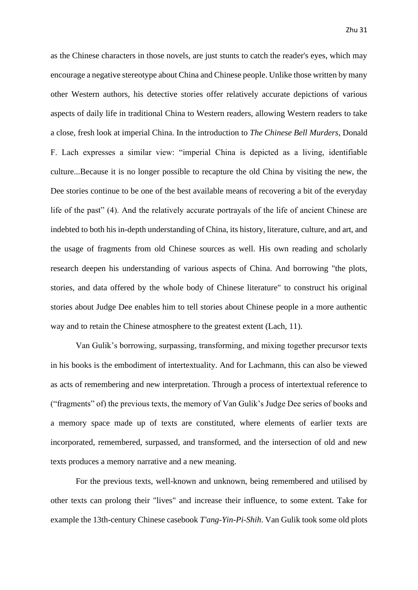as the Chinese characters in those novels, are just stunts to catch the reader's eyes, which may encourage a negative stereotype about China and Chinese people. Unlike those written by many other Western authors, his detective stories offer relatively accurate depictions of various aspects of daily life in traditional China to Western readers, allowing Western readers to take a close, fresh look at imperial China. In the introduction to *The Chinese Bell Murders*, Donald F. Lach expresses a similar view: "imperial China is depicted as a living, identifiable culture...Because it is no longer possible to recapture the old China by visiting the new, the Dee stories continue to be one of the best available means of recovering a bit of the everyday life of the past" (4). And the relatively accurate portrayals of the life of ancient Chinese are indebted to both his in-depth understanding of China, its history, literature, culture, and art, and the usage of fragments from old Chinese sources as well. His own reading and scholarly research deepen his understanding of various aspects of China. And borrowing "the plots, stories, and data offered by the whole body of Chinese literature" to construct his original stories about Judge Dee enables him to tell stories about Chinese people in a more authentic way and to retain the Chinese atmosphere to the greatest extent (Lach, 11).

Van Gulik's borrowing, surpassing, transforming, and mixing together precursor texts in his books is the embodiment of intertextuality. And for Lachmann, this can also be viewed as acts of remembering and new interpretation. Through a process of intertextual reference to ("fragments" of) the previous texts, the memory of Van Gulik's Judge Dee series of books and a memory space made up of texts are constituted, where elements of earlier texts are incorporated, remembered, surpassed, and transformed, and the intersection of old and new texts produces a memory narrative and a new meaning.

For the previous texts, well-known and unknown, being remembered and utilised by other texts can prolong their "lives" and increase their influence, to some extent. Take for example the 13th-century Chinese casebook *T'ang-Yin-Pi-Shih*. Van Gulik took some old plots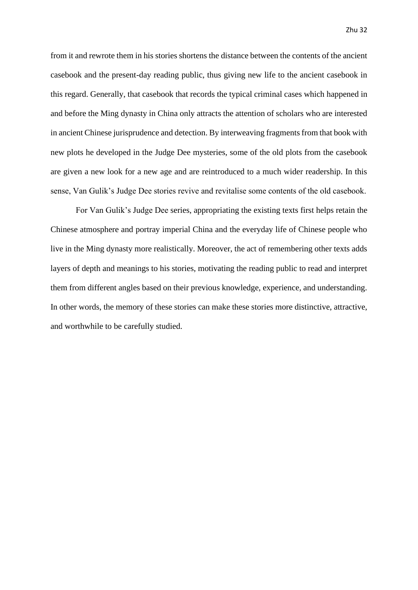from it and rewrote them in his stories shortens the distance between the contents of the ancient casebook and the present-day reading public, thus giving new life to the ancient casebook in this regard. Generally, that casebook that records the typical criminal cases which happened in and before the Ming dynasty in China only attracts the attention of scholars who are interested in ancient Chinese jurisprudence and detection. By interweaving fragments from that book with new plots he developed in the Judge Dee mysteries, some of the old plots from the casebook are given a new look for a new age and are reintroduced to a much wider readership. In this sense, Van Gulik's Judge Dee stories revive and revitalise some contents of the old casebook.

For Van Gulik's Judge Dee series, appropriating the existing texts first helps retain the Chinese atmosphere and portray imperial China and the everyday life of Chinese people who live in the Ming dynasty more realistically. Moreover, the act of remembering other texts adds layers of depth and meanings to his stories, motivating the reading public to read and interpret them from different angles based on their previous knowledge, experience, and understanding. In other words, the memory of these stories can make these stories more distinctive, attractive, and worthwhile to be carefully studied.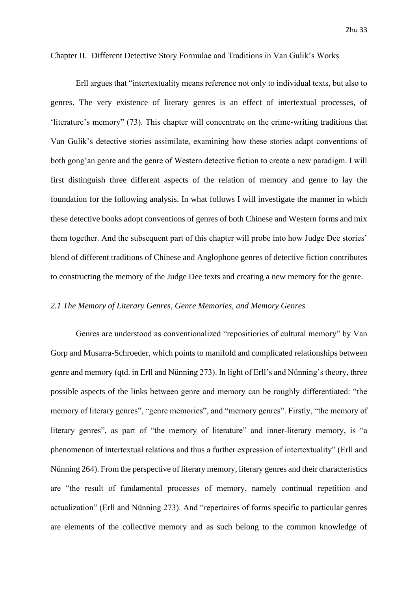### <span id="page-33-0"></span>Chapter II. Different Detective Story Formulae and Traditions in Van Gulik's Works

Erll argues that "intertextuality means reference not only to individual texts, but also to genres. The very existence of literary genres is an effect of intertextual processes, of 'literature's memory" (73). This chapter will concentrate on the crime-writing traditions that Van Gulik's detective stories assimilate, examining how these stories adapt conventions of both gong'an genre and the genre of Western detective fiction to create a new paradigm. I will first distinguish three different aspects of the relation of memory and genre to lay the foundation for the following analysis. In what follows I will investigate the manner in which these detective books adopt conventions of genres of both Chinese and Western forms and mix them together. And the subsequent part of this chapter will probe into how Judge Dee stories' blend of different traditions of Chinese and Anglophone genres of detective fiction contributes to constructing the memory of the Judge Dee texts and creating a new memory for the genre.

### <span id="page-33-1"></span>*2.1 The Memory of Literary Genres, Genre Memories, and Memory Genres*

Genres are understood as conventionalized "repositiories of cultural memory" by Van Gorp and Musarra-Schroeder, which points to manifold and complicated relationships between genre and memory (qtd. in Erll and Nünning 273). In light of Erll's and Nünning's theory, three possible aspects of the links between genre and memory can be roughly differentiated: "the memory of literary genres", "genre memories", and "memory genres". Firstly, "the memory of literary genres", as part of "the memory of literature" and inner-literary memory, is "a phenomenon of intertextual relations and thus a further expression of intertextuality" (Erll and Nünning 264). From the perspective of literary memory, literary genres and their characteristics are "the result of fundamental processes of memory, namely continual repetition and actualization" (Erll and Nünning 273). And "repertoires of forms specific to particular genres are elements of the collective memory and as such belong to the common knowledge of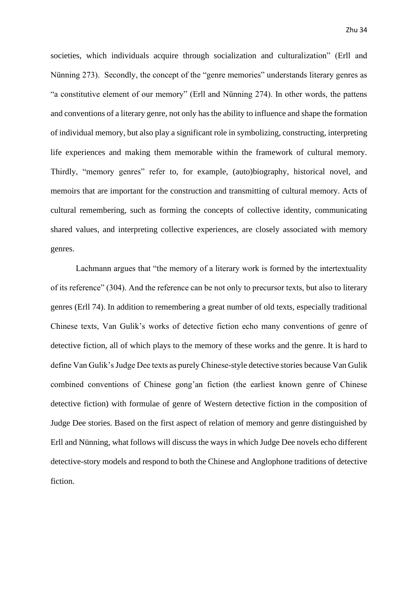societies, which individuals acquire through socialization and culturalization" (Erll and Nünning 273). Secondly, the concept of the "genre memories" understands literary genres as "a constitutive element of our memory" (Erll and Nünning 274). In other words, the pattens and conventions of a literary genre, not only has the ability to influence and shape the formation of individual memory, but also play a significant role in symbolizing, constructing, interpreting life experiences and making them memorable within the framework of cultural memory. Thirdly, "memory genres" refer to, for example, (auto)biography, historical novel, and memoirs that are important for the construction and transmitting of cultural memory. Acts of cultural remembering, such as forming the concepts of collective identity, communicating shared values, and interpreting collective experiences, are closely associated with memory genres.

Lachmann argues that "the memory of a literary work is formed by the intertextuality of its reference" (304). And the reference can be not only to precursor texts, but also to literary genres (Erll 74). In addition to remembering a great number of old texts, especially traditional Chinese texts, Van Gulik's works of detective fiction echo many conventions of genre of detective fiction, all of which plays to the memory of these works and the genre. It is hard to define Van Gulik's Judge Dee texts as purely Chinese-style detective stories because Van Gulik combined conventions of Chinese gong'an fiction (the earliest known genre of Chinese detective fiction) with formulae of genre of Western detective fiction in the composition of Judge Dee stories. Based on the first aspect of relation of memory and genre distinguished by Erll and Nünning, what follows will discuss the ways in which Judge Dee novels echo different detective-story models and respond to both the Chinese and Anglophone traditions of detective fiction.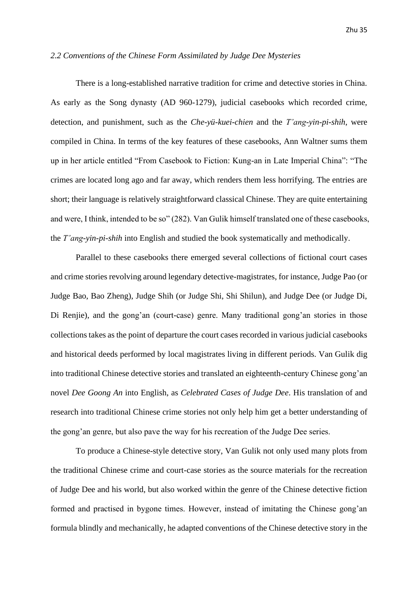### <span id="page-35-0"></span>*2.2 Conventions of the Chinese Form Assimilated by Judge Dee Mysteries*

There is a long-established narrative tradition for crime and detective stories in China. As early as the Song dynasty (AD 960-1279), judicial casebooks which recorded crime, detection, and punishment, such as the *Che-yü-kuei-chien* and the *T'ang-yin-pi-shih*, were compiled in China. In terms of the key features of these casebooks, Ann Waltner sums them up in her article entitled "From Casebook to Fiction: Kung-an in Late Imperial China": "The crimes are located long ago and far away, which renders them less horrifying. The entries are short; their language is relatively straightforward classical Chinese. They are quite entertaining and were, I think, intended to be so" (282). Van Gulik himself translated one of these casebooks, the *T'ang-yin-pi-shih* into English and studied the book systematically and methodically.

Parallel to these casebooks there emerged several collections of fictional court cases and crime stories revolving around legendary detective-magistrates, for instance, Judge Pao (or Judge Bao, Bao Zheng), Judge Shih (or Judge Shi, Shi Shilun), and Judge Dee (or Judge Di, Di Renjie), and the gong'an (court-case) genre. Many traditional gong'an stories in those collections takes as the point of departure the court cases recorded in various judicial casebooks and historical deeds performed by local magistrates living in different periods. Van Gulik dig into traditional Chinese detective stories and translated an eighteenth-century Chinese gong'an novel *Dee Goong An* into English, as *Celebrated Cases of Judge Dee*. His translation of and research into traditional Chinese crime stories not only help him get a better understanding of the gong'an genre, but also pave the way for his recreation of the Judge Dee series.

To produce a Chinese-style detective story, Van Gulik not only used many plots from the traditional Chinese crime and court-case stories as the source materials for the recreation of Judge Dee and his world, but also worked within the genre of the Chinese detective fiction formed and practised in bygone times. However, instead of imitating the Chinese gong'an formula blindly and mechanically, he adapted conventions of the Chinese detective story in the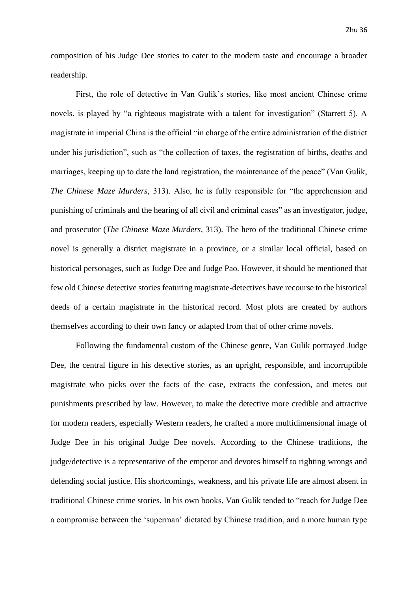composition of his Judge Dee stories to cater to the modern taste and encourage a broader readership.

First, the role of detective in Van Gulik's stories, like most ancient Chinese crime novels, is played by "a righteous magistrate with a talent for investigation" (Starrett 5). A magistrate in imperial China is the official "in charge of the entire administration of the district under his jurisdiction", such as "the collection of taxes, the registration of births, deaths and marriages, keeping up to date the land registration, the maintenance of the peace" (Van Gulik, *The Chinese Maze Murders,* 313). Also, he is fully responsible for "the apprehension and punishing of criminals and the hearing of all civil and criminal cases" as an investigator, judge, and prosecutor (*The Chinese Maze Murders,* 313). The hero of the traditional Chinese crime novel is generally a district magistrate in a province, or a similar local official, based on historical personages, such as Judge Dee and Judge Pao. However, it should be mentioned that few old Chinese detective stories featuring magistrate-detectives have recourse to the historical deeds of a certain magistrate in the historical record. Most plots are created by authors themselves according to their own fancy or adapted from that of other crime novels.

Following the fundamental custom of the Chinese genre, Van Gulik portrayed Judge Dee, the central figure in his detective stories, as an upright, responsible, and incorruptible magistrate who picks over the facts of the case, extracts the confession, and metes out punishments prescribed by law. However, to make the detective more credible and attractive for modern readers, especially Western readers, he crafted a more multidimensional image of Judge Dee in his original Judge Dee novels. According to the Chinese traditions, the judge/detective is a representative of the emperor and devotes himself to righting wrongs and defending social justice. His shortcomings, weakness, and his private life are almost absent in traditional Chinese crime stories. In his own books, Van Gulik tended to "reach for Judge Dee a compromise between the 'superman' dictated by Chinese tradition, and a more human type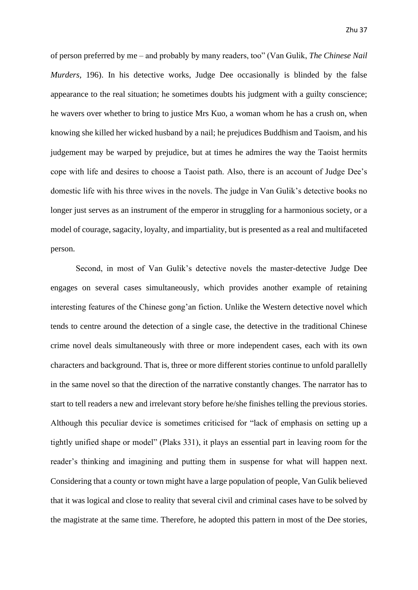of person preferred by me – and probably by many readers, too" (Van Gulik, *The Chinese Nail Murders,* 196). In his detective works, Judge Dee occasionally is blinded by the false appearance to the real situation; he sometimes doubts his judgment with a guilty conscience; he wavers over whether to bring to justice Mrs Kuo, a woman whom he has a crush on, when knowing she killed her wicked husband by a nail; he prejudices Buddhism and Taoism, and his judgement may be warped by prejudice, but at times he admires the way the Taoist hermits cope with life and desires to choose a Taoist path. Also, there is an account of Judge Dee's domestic life with his three wives in the novels. The judge in Van Gulik's detective books no longer just serves as an instrument of the emperor in struggling for a harmonious society, or a model of courage, sagacity, loyalty, and impartiality, but is presented as a real and multifaceted person.

Second, in most of Van Gulik's detective novels the master-detective Judge Dee engages on several cases simultaneously, which provides another example of retaining interesting features of the Chinese gong'an fiction. Unlike the Western detective novel which tends to centre around the detection of a single case, the detective in the traditional Chinese crime novel deals simultaneously with three or more independent cases, each with its own characters and background. That is, three or more different stories continue to unfold parallelly in the same novel so that the direction of the narrative constantly changes. The narrator has to start to tell readers a new and irrelevant story before he/she finishes telling the previous stories. Although this peculiar device is sometimes criticised for "lack of emphasis on setting up a tightly unified shape or model" (Plaks 331), it plays an essential part in leaving room for the reader's thinking and imagining and putting them in suspense for what will happen next. Considering that a county or town might have a large population of people, Van Gulik believed that it was logical and close to reality that several civil and criminal cases have to be solved by the magistrate at the same time. Therefore, he adopted this pattern in most of the Dee stories,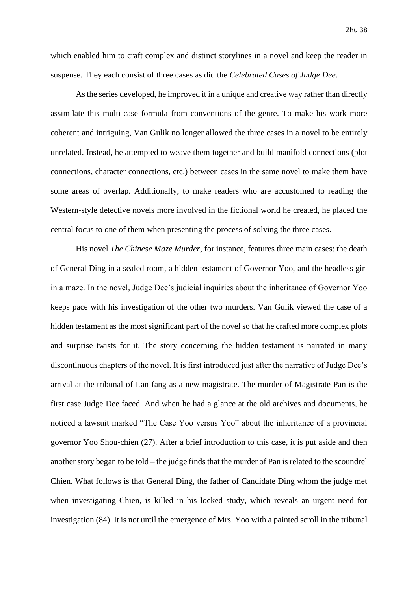which enabled him to craft complex and distinct storylines in a novel and keep the reader in suspense. They each consist of three cases as did the *Celebrated Cases of Judge Dee*.

As the series developed, he improved it in a unique and creative way rather than directly assimilate this multi-case formula from conventions of the genre. To make his work more coherent and intriguing, Van Gulik no longer allowed the three cases in a novel to be entirely unrelated. Instead, he attempted to weave them together and build manifold connections (plot connections, character connections, etc.) between cases in the same novel to make them have some areas of overlap. Additionally, to make readers who are accustomed to reading the Western-style detective novels more involved in the fictional world he created, he placed the central focus to one of them when presenting the process of solving the three cases.

His novel *The Chinese Maze Murder*, for instance, features three main cases: the death of General Ding in a sealed room, a hidden testament of Governor Yoo, and the headless girl in a maze. In the novel, Judge Dee's judicial inquiries about the inheritance of Governor Yoo keeps pace with his investigation of the other two murders. Van Gulik viewed the case of a hidden testament as the most significant part of the novel so that he crafted more complex plots and surprise twists for it. The story concerning the hidden testament is narrated in many discontinuous chapters of the novel. It is first introduced just after the narrative of Judge Dee's arrival at the tribunal of Lan-fang as a new magistrate. The murder of Magistrate Pan is the first case Judge Dee faced. And when he had a glance at the old archives and documents, he noticed a lawsuit marked "The Case Yoo versus Yoo" about the inheritance of a provincial governor Yoo Shou-chien (27). After a brief introduction to this case, it is put aside and then another story began to be told – the judge finds that the murder of Pan is related to the scoundrel Chien. What follows is that General Ding, the father of Candidate Ding whom the judge met when investigating Chien, is killed in his locked study, which reveals an urgent need for investigation (84). It is not until the emergence of Mrs. Yoo with a painted scroll in the tribunal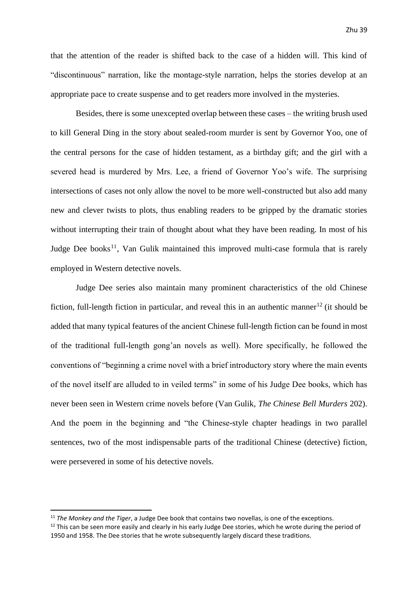that the attention of the reader is shifted back to the case of a hidden will. This kind of "discontinuous" narration, like the montage-style narration, helps the stories develop at an appropriate pace to create suspense and to get readers more involved in the mysteries.

Besides, there is some unexcepted overlap between these cases – the writing brush used to kill General Ding in the story about sealed-room murder is sent by Governor Yoo, one of the central persons for the case of hidden testament, as a birthday gift; and the girl with a severed head is murdered by Mrs. Lee, a friend of Governor Yoo's wife. The surprising intersections of cases not only allow the novel to be more well-constructed but also add many new and clever twists to plots, thus enabling readers to be gripped by the dramatic stories without interrupting their train of thought about what they have been reading. In most of his Judge Dee books<sup>11</sup>, Van Gulik maintained this improved multi-case formula that is rarely employed in Western detective novels.

Judge Dee series also maintain many prominent characteristics of the old Chinese fiction, full-length fiction in particular, and reveal this in an authentic manner<sup>12</sup> (it should be added that many typical features of the ancient Chinese full-length fiction can be found in most of the traditional full-length gong'an novels as well). More specifically, he followed the conventions of "beginning a crime novel with a brief introductory story where the main events of the novel itself are alluded to in veiled terms" in some of his Judge Dee books, which has never been seen in Western crime novels before (Van Gulik, *The Chinese Bell Murders* 202). And the poem in the beginning and "the Chinese-style chapter headings in two parallel sentences, two of the most indispensable parts of the traditional Chinese (detective) fiction, were persevered in some of his detective novels.

<sup>11</sup> *The Monkey and the Tiger*, a Judge Dee book that contains two novellas, is one of the exceptions.

 $12$  This can be seen more easily and clearly in his early Judge Dee stories, which he wrote during the period of 1950 and 1958. The Dee stories that he wrote subsequently largely discard these traditions.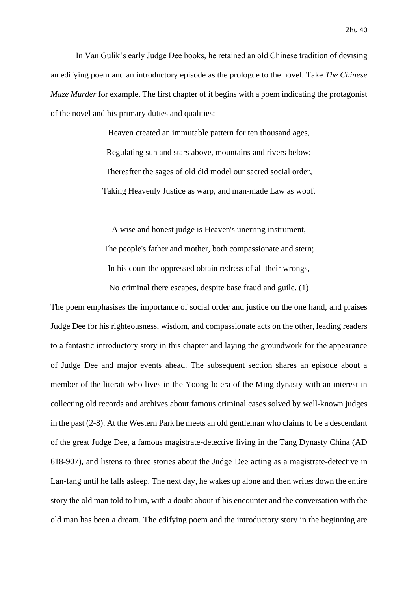In Van Gulik's early Judge Dee books, he retained an old Chinese tradition of devising an edifying poem and an introductory episode as the prologue to the novel. Take *The Chinese Maze Murder* for example. The first chapter of it begins with a poem indicating the protagonist of the novel and his primary duties and qualities:

> Heaven created an immutable pattern for ten thousand ages, Regulating sun and stars above, mountains and rivers below; Thereafter the sages of old did model our sacred social order, Taking Heavenly Justice as warp, and man-made Law as woof.

> A wise and honest judge is Heaven's unerring instrument, The people's father and mother, both compassionate and stern; In his court the oppressed obtain redress of all their wrongs, No criminal there escapes, despite base fraud and guile. (1)

The poem emphasises the importance of social order and justice on the one hand, and praises Judge Dee for his righteousness, wisdom, and compassionate acts on the other, leading readers to a fantastic introductory story in this chapter and laying the groundwork for the appearance of Judge Dee and major events ahead. The subsequent section shares an episode about a member of the literati who lives in the Yoong-lo era of the Ming dynasty with an interest in collecting old records and archives about famous criminal cases solved by well-known judges in the past (2-8). At the Western Park he meets an old gentleman who claims to be a descendant of the great Judge Dee, a famous magistrate-detective living in the Tang Dynasty China (AD 618-907), and listens to three stories about the Judge Dee acting as a magistrate-detective in Lan-fang until he falls asleep. The next day, he wakes up alone and then writes down the entire story the old man told to him, with a doubt about if his encounter and the conversation with the old man has been a dream. The edifying poem and the introductory story in the beginning are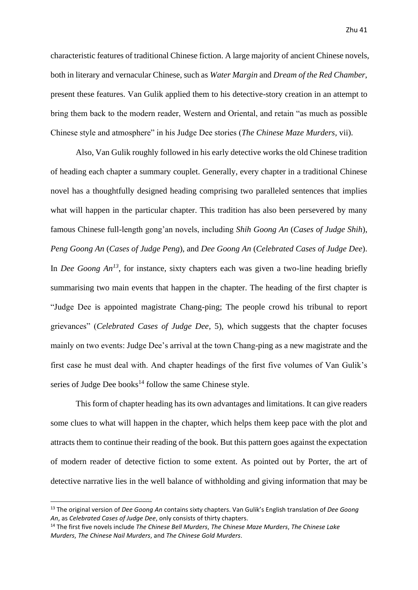characteristic features of traditional Chinese fiction. A large majority of ancient Chinese novels, both in literary and vernacular Chinese, such as *Water Margin* and *Dream of the Red Chamber*, present these features. Van Gulik applied them to his detective-story creation in an attempt to bring them back to the modern reader, Western and Oriental, and retain "as much as possible Chinese style and atmosphere" in his Judge Dee stories (*The Chinese Maze Murders,* vii).

Also, Van Gulik roughly followed in his early detective works the old Chinese tradition of heading each chapter a summary couplet. Generally, every chapter in a traditional Chinese novel has a thoughtfully designed heading comprising two paralleled sentences that implies what will happen in the particular chapter. This tradition has also been persevered by many famous Chinese full-length gong'an novels, including *Shih Goong An* (*Cases of Judge Shih*), *Peng Goong An* (*Cases of Judge Peng*), and *Dee Goong An* (*Celebrated Cases of Judge Dee*). In *Dee Goong An<sup>13</sup>*, for instance, sixty chapters each was given a two-line heading briefly summarising two main events that happen in the chapter. The heading of the first chapter is "Judge Dee is appointed magistrate Chang-ping; The people crowd his tribunal to report grievances" (*Celebrated Cases of Judge Dee,* 5), which suggests that the chapter focuses mainly on two events: Judge Dee's arrival at the town Chang-ping as a new magistrate and the first case he must deal with. And chapter headings of the first five volumes of Van Gulik's series of Judge Dee books $^{14}$  follow the same Chinese style.

This form of chapter heading has its own advantages and limitations. It can give readers some clues to what will happen in the chapter, which helps them keep pace with the plot and attracts them to continue their reading of the book. But this pattern goes against the expectation of modern reader of detective fiction to some extent. As pointed out by Porter, the art of detective narrative lies in the well balance of withholding and giving information that may be

<sup>13</sup> The original version of *Dee Goong An* contains sixty chapters. Van Gulik's English translation of *Dee Goong An*, as *Celebrated Cases of Judge Dee*, only consists of thirty chapters.

<sup>14</sup> The first five novels include *The Chinese Bell Murders*, *The Chinese Maze Murders*, *The Chinese Lake Murders*, *The Chinese Nail Murders*, and *The Chinese Gold Murders*.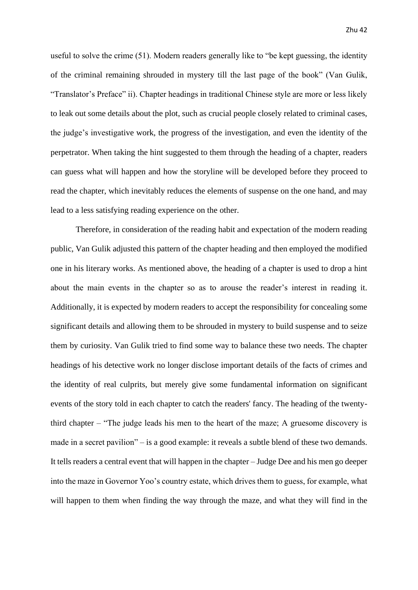useful to solve the crime (51). Modern readers generally like to "be kept guessing, the identity of the criminal remaining shrouded in mystery till the last page of the book" (Van Gulik, "Translator's Preface" ii). Chapter headings in traditional Chinese style are more or less likely to leak out some details about the plot, such as crucial people closely related to criminal cases, the judge's investigative work, the progress of the investigation, and even the identity of the perpetrator. When taking the hint suggested to them through the heading of a chapter, readers can guess what will happen and how the storyline will be developed before they proceed to read the chapter, which inevitably reduces the elements of suspense on the one hand, and may lead to a less satisfying reading experience on the other.

Therefore, in consideration of the reading habit and expectation of the modern reading public, Van Gulik adjusted this pattern of the chapter heading and then employed the modified one in his literary works. As mentioned above, the heading of a chapter is used to drop a hint about the main events in the chapter so as to arouse the reader's interest in reading it. Additionally, it is expected by modern readers to accept the responsibility for concealing some significant details and allowing them to be shrouded in mystery to build suspense and to seize them by curiosity. Van Gulik tried to find some way to balance these two needs. The chapter headings of his detective work no longer disclose important details of the facts of crimes and the identity of real culprits, but merely give some fundamental information on significant events of the story told in each chapter to catch the readers' fancy. The heading of the twentythird chapter – "The judge leads his men to the heart of the maze; A gruesome discovery is made in a secret pavilion" – is a good example: it reveals a subtle blend of these two demands. It tells readers a central event that will happen in the chapter – Judge Dee and his men go deeper into the maze in Governor Yoo's country estate, which drives them to guess, for example, what will happen to them when finding the way through the maze, and what they will find in the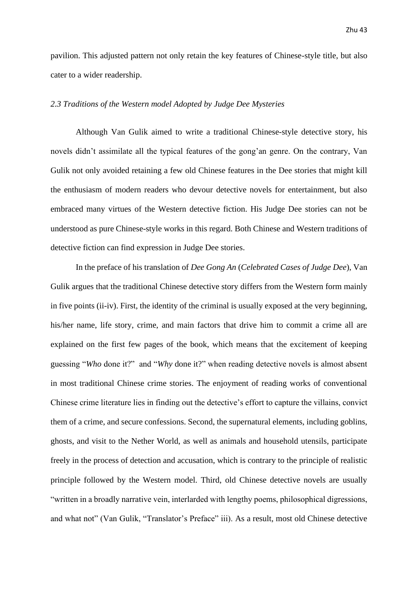pavilion. This adjusted pattern not only retain the key features of Chinese-style title, but also cater to a wider readership.

### <span id="page-43-0"></span>*2.3 Traditions of the Western model Adopted by Judge Dee Mysteries*

Although Van Gulik aimed to write a traditional Chinese-style detective story, his novels didn't assimilate all the typical features of the gong'an genre. On the contrary, Van Gulik not only avoided retaining a few old Chinese features in the Dee stories that might kill the enthusiasm of modern readers who devour detective novels for entertainment, but also embraced many virtues of the Western detective fiction. His Judge Dee stories can not be understood as pure Chinese-style works in this regard. Both Chinese and Western traditions of detective fiction can find expression in Judge Dee stories.

In the preface of his translation of *Dee Gong An* (*Celebrated Cases of Judge Dee*), Van Gulik argues that the traditional Chinese detective story differs from the Western form mainly in five points (ii-iv). First, the identity of the criminal is usually exposed at the very beginning, his/her name, life story, crime, and main factors that drive him to commit a crime all are explained on the first few pages of the book, which means that the excitement of keeping guessing "*Who* done it?" and "*Why* done it?" when reading detective novels is almost absent in most traditional Chinese crime stories. The enjoyment of reading works of conventional Chinese crime literature lies in finding out the detective's effort to capture the villains, convict them of a crime, and secure confessions. Second, the supernatural elements, including goblins, ghosts, and visit to the Nether World, as well as animals and household utensils, participate freely in the process of detection and accusation, which is contrary to the principle of realistic principle followed by the Western model. Third, old Chinese detective novels are usually "written in a broadly narrative vein, interlarded with lengthy poems, philosophical digressions, and what not" (Van Gulik, "Translator's Preface" iii). As a result, most old Chinese detective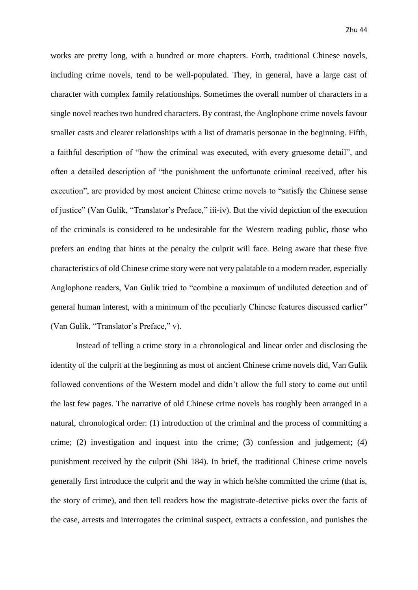works are pretty long, with a hundred or more chapters. Forth, traditional Chinese novels, including crime novels, tend to be well-populated. They, in general, have a large cast of character with complex family relationships. Sometimes the overall number of characters in a single novel reaches two hundred characters. By contrast, the Anglophone crime novels favour smaller casts and clearer relationships with a list of dramatis personae in the beginning. Fifth, a faithful description of "how the criminal was executed, with every gruesome detail", and often a detailed description of "the punishment the unfortunate criminal received, after his execution", are provided by most ancient Chinese crime novels to "satisfy the Chinese sense of justice" (Van Gulik, "Translator's Preface," iii-iv). But the vivid depiction of the execution of the criminals is considered to be undesirable for the Western reading public, those who prefers an ending that hints at the penalty the culprit will face. Being aware that these five characteristics of old Chinese crime story were not very palatable to a modern reader, especially Anglophone readers, Van Gulik tried to "combine a maximum of undiluted detection and of general human interest, with a minimum of the peculiarly Chinese features discussed earlier" (Van Gulik, "Translator's Preface," v).

Instead of telling a crime story in a chronological and linear order and disclosing the identity of the culprit at the beginning as most of ancient Chinese crime novels did, Van Gulik followed conventions of the Western model and didn't allow the full story to come out until the last few pages. The narrative of old Chinese crime novels has roughly been arranged in a natural, chronological order: (1) introduction of the criminal and the process of committing a crime; (2) investigation and inquest into the crime; (3) confession and judgement; (4) punishment received by the culprit (Shi 184). In brief, the traditional Chinese crime novels generally first introduce the culprit and the way in which he/she committed the crime (that is, the story of crime), and then tell readers how the magistrate-detective picks over the facts of the case, arrests and interrogates the criminal suspect, extracts a confession, and punishes the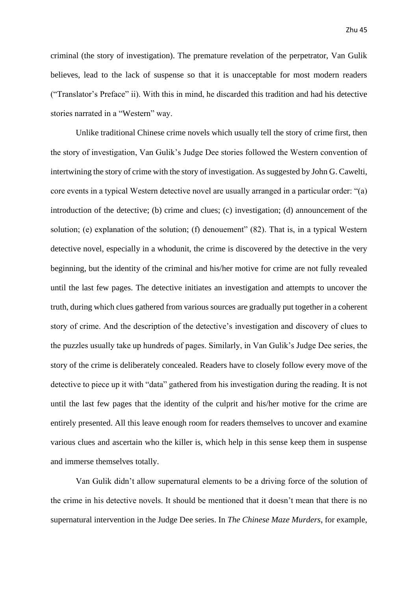criminal (the story of investigation). The premature revelation of the perpetrator, Van Gulik believes, lead to the lack of suspense so that it is unacceptable for most modern readers ("Translator's Preface" ii). With this in mind, he discarded this tradition and had his detective stories narrated in a "Western" way.

Unlike traditional Chinese crime novels which usually tell the story of crime first, then the story of investigation, Van Gulik's Judge Dee stories followed the Western convention of intertwining the story of crime with the story of investigation. As suggested by John G. Cawelti, core events in a typical Western detective novel are usually arranged in a particular order: "(a) introduction of the detective; (b) crime and clues; (c) investigation; (d) announcement of the solution; (e) explanation of the solution; (f) denouement" (82). That is, in a typical Western detective novel, especially in a whodunit, the crime is discovered by the detective in the very beginning, but the identity of the criminal and his/her motive for crime are not fully revealed until the last few pages. The detective initiates an investigation and attempts to uncover the truth, during which clues gathered from various sources are gradually put together in a coherent story of crime. And the description of the detective's investigation and discovery of clues to the puzzles usually take up hundreds of pages. Similarly, in Van Gulik's Judge Dee series, the story of the crime is deliberately concealed. Readers have to closely follow every move of the detective to piece up it with "data" gathered from his investigation during the reading. It is not until the last few pages that the identity of the culprit and his/her motive for the crime are entirely presented. All this leave enough room for readers themselves to uncover and examine various clues and ascertain who the killer is, which help in this sense keep them in suspense and immerse themselves totally.

Van Gulik didn't allow supernatural elements to be a driving force of the solution of the crime in his detective novels. It should be mentioned that it doesn't mean that there is no supernatural intervention in the Judge Dee series. In *The Chinese Maze Murders*, for example,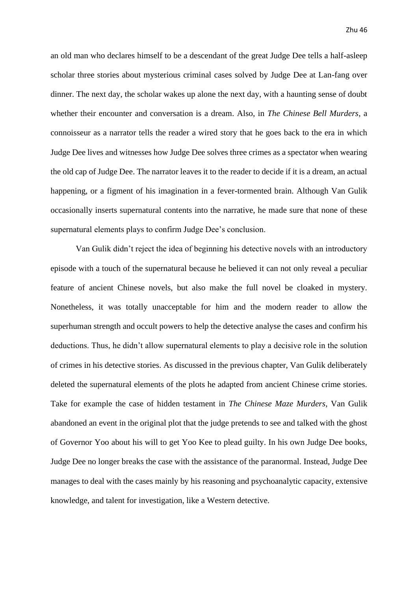an old man who declares himself to be a descendant of the great Judge Dee tells a half-asleep scholar three stories about mysterious criminal cases solved by Judge Dee at Lan-fang over dinner. The next day, the scholar wakes up alone the next day, with a haunting sense of doubt whether their encounter and conversation is a dream. Also, in *The Chinese Bell Murders*, a connoisseur as a narrator tells the reader a wired story that he goes back to the era in which Judge Dee lives and witnesses how Judge Dee solves three crimes as a spectator when wearing the old cap of Judge Dee. The narrator leaves it to the reader to decide if it is a dream, an actual happening, or a figment of his imagination in a fever-tormented brain. Although Van Gulik occasionally inserts supernatural contents into the narrative, he made sure that none of these supernatural elements plays to confirm Judge Dee's conclusion.

Van Gulik didn't reject the idea of beginning his detective novels with an introductory episode with a touch of the supernatural because he believed it can not only reveal a peculiar feature of ancient Chinese novels, but also make the full novel be cloaked in mystery. Nonetheless, it was totally unacceptable for him and the modern reader to allow the superhuman strength and occult powers to help the detective analyse the cases and confirm his deductions. Thus, he didn't allow supernatural elements to play a decisive role in the solution of crimes in his detective stories. As discussed in the previous chapter, Van Gulik deliberately deleted the supernatural elements of the plots he adapted from ancient Chinese crime stories. Take for example the case of hidden testament in *The Chinese Maze Murders*, Van Gulik abandoned an event in the original plot that the judge pretends to see and talked with the ghost of Governor Yoo about his will to get Yoo Kee to plead guilty. In his own Judge Dee books, Judge Dee no longer breaks the case with the assistance of the paranormal. Instead, Judge Dee manages to deal with the cases mainly by his reasoning and psychoanalytic capacity, extensive knowledge, and talent for investigation, like a Western detective.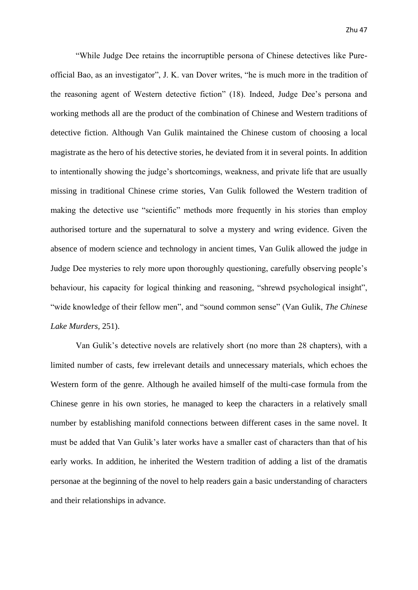"While Judge Dee retains the incorruptible persona of Chinese detectives like Pureofficial Bao, as an investigator", J. K. van Dover writes, "he is much more in the tradition of the reasoning agent of Western detective fiction" (18). Indeed, Judge Dee's persona and working methods all are the product of the combination of Chinese and Western traditions of detective fiction. Although Van Gulik maintained the Chinese custom of choosing a local magistrate as the hero of his detective stories, he deviated from it in several points. In addition to intentionally showing the judge's shortcomings, weakness, and private life that are usually missing in traditional Chinese crime stories, Van Gulik followed the Western tradition of making the detective use "scientific" methods more frequently in his stories than employ authorised torture and the supernatural to solve a mystery and wring evidence. Given the absence of modern science and technology in ancient times, Van Gulik allowed the judge in Judge Dee mysteries to rely more upon thoroughly questioning, carefully observing people's behaviour, his capacity for logical thinking and reasoning, "shrewd psychological insight", "wide knowledge of their fellow men", and "sound common sense" (Van Gulik, *The Chinese Lake Murders,* 251).

Van Gulik's detective novels are relatively short (no more than 28 chapters), with a limited number of casts, few irrelevant details and unnecessary materials, which echoes the Western form of the genre. Although he availed himself of the multi-case formula from the Chinese genre in his own stories, he managed to keep the characters in a relatively small number by establishing manifold connections between different cases in the same novel. It must be added that Van Gulik's later works have a smaller cast of characters than that of his early works. In addition, he inherited the Western tradition of adding a list of the dramatis personae at the beginning of the novel to help readers gain a basic understanding of characters and their relationships in advance.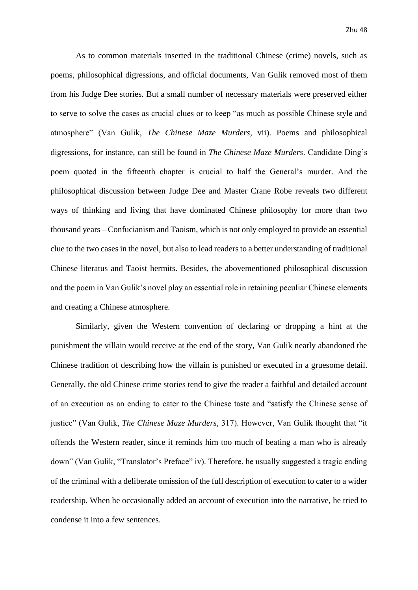As to common materials inserted in the traditional Chinese (crime) novels, such as poems, philosophical digressions, and official documents, Van Gulik removed most of them from his Judge Dee stories. But a small number of necessary materials were preserved either to serve to solve the cases as crucial clues or to keep "as much as possible Chinese style and atmosphere" (Van Gulik, *The Chinese Maze Murders,* vii). Poems and philosophical digressions, for instance, can still be found in *The Chinese Maze Murders*. Candidate Ding's poem quoted in the fifteenth chapter is crucial to half the General's murder. And the philosophical discussion between Judge Dee and Master Crane Robe reveals two different ways of thinking and living that have dominated Chinese philosophy for more than two thousand years – Confucianism and Taoism, which is not only employed to provide an essential clue to the two cases in the novel, but also to lead readers to a better understanding of traditional Chinese literatus and Taoist hermits. Besides, the abovementioned philosophical discussion and the poem in Van Gulik's novel play an essential role in retaining peculiar Chinese elements and creating a Chinese atmosphere.

Similarly, given the Western convention of declaring or dropping a hint at the punishment the villain would receive at the end of the story, Van Gulik nearly abandoned the Chinese tradition of describing how the villain is punished or executed in a gruesome detail. Generally, the old Chinese crime stories tend to give the reader a faithful and detailed account of an execution as an ending to cater to the Chinese taste and "satisfy the Chinese sense of justice" (Van Gulik, *The Chinese Maze Murders,* 317). However, Van Gulik thought that "it offends the Western reader, since it reminds him too much of beating a man who is already down" (Van Gulik, "Translator's Preface" iv). Therefore, he usually suggested a tragic ending of the criminal with a deliberate omission of the full description of execution to cater to a wider readership. When he occasionally added an account of execution into the narrative, he tried to condense it into a few sentences.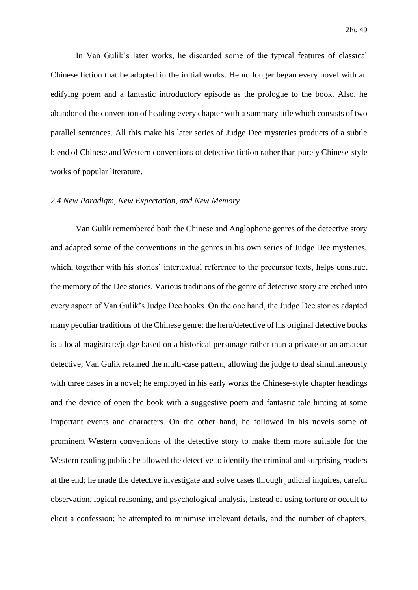In Van Gulik's later works, he discarded some of the typical features of classical Chinese fiction that he adopted in the initial works. He no longer began every novel with an edifying poem and a fantastic introductory episode as the prologue to the book. Also, he abandoned the convention of heading every chapter with a summary title which consists of two parallel sentences. All this make his later series of Judge Dee mysteries products of a subtle blend of Chinese and Western conventions of detective fiction rather than purely Chinese-style works of popular literature.

### <span id="page-49-0"></span>*2.4 New Paradigm, New Expectation, and New Memory*

Van Gulik remembered both the Chinese and Anglophone genres of the detective story and adapted some of the conventions in the genres in his own series of Judge Dee mysteries, which, together with his stories' intertextual reference to the precursor texts, helps construct the memory of the Dee stories. Various traditions of the genre of detective story are etched into every aspect of Van Gulik's Judge Dee books. On the one hand, the Judge Dee stories adapted many peculiar traditions of the Chinese genre: the hero/detective of his original detective books is a local magistrate/judge based on a historical personage rather than a private or an amateur detective; Van Gulik retained the multi-case pattern, allowing the judge to deal simultaneously with three cases in a novel; he employed in his early works the Chinese-style chapter headings and the device of open the book with a suggestive poem and fantastic tale hinting at some important events and characters. On the other hand, he followed in his novels some of prominent Western conventions of the detective story to make them more suitable for the Western reading public: he allowed the detective to identify the criminal and surprising readers at the end; he made the detective investigate and solve cases through judicial inquires, careful observation, logical reasoning, and psychological analysis, instead of using torture or occult to elicit a confession; he attempted to minimise irrelevant details, and the number of chapters,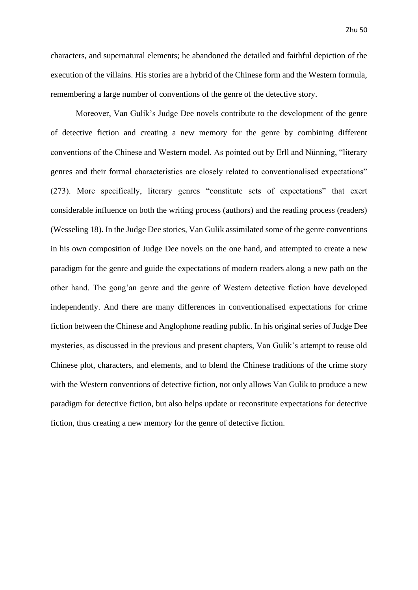characters, and supernatural elements; he abandoned the detailed and faithful depiction of the execution of the villains. His stories are a hybrid of the Chinese form and the Western formula, remembering a large number of conventions of the genre of the detective story.

Moreover, Van Gulik's Judge Dee novels contribute to the development of the genre of detective fiction and creating a new memory for the genre by combining different conventions of the Chinese and Western model. As pointed out by Erll and Nünning, "literary genres and their formal characteristics are closely related to conventionalised expectations" (273). More specifically, literary genres "constitute sets of expectations" that exert considerable influence on both the writing process (authors) and the reading process (readers) (Wesseling 18). In the Judge Dee stories, Van Gulik assimilated some of the genre conventions in his own composition of Judge Dee novels on the one hand, and attempted to create a new paradigm for the genre and guide the expectations of modern readers along a new path on the other hand. The gong'an genre and the genre of Western detective fiction have developed independently. And there are many differences in conventionalised expectations for crime fiction between the Chinese and Anglophone reading public. In his original series of Judge Dee mysteries, as discussed in the previous and present chapters, Van Gulik's attempt to reuse old Chinese plot, characters, and elements, and to blend the Chinese traditions of the crime story with the Western conventions of detective fiction, not only allows Van Gulik to produce a new paradigm for detective fiction, but also helps update or reconstitute expectations for detective fiction, thus creating a new memory for the genre of detective fiction.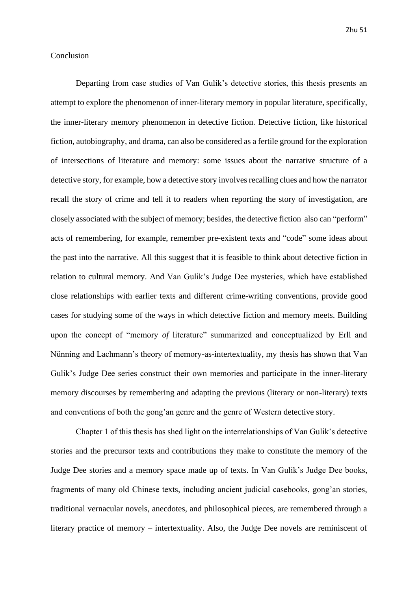### <span id="page-51-0"></span>Conclusion

Departing from case studies of Van Gulik's detective stories, this thesis presents an attempt to explore the phenomenon of inner-literary memory in popular literature, specifically, the inner-literary memory phenomenon in detective fiction. Detective fiction, like historical fiction, autobiography, and drama, can also be considered as a fertile ground for the exploration of intersections of literature and memory: some issues about the narrative structure of a detective story, for example, how a detective story involves recalling clues and how the narrator recall the story of crime and tell it to readers when reporting the story of investigation, are closely associated with the subject of memory; besides, the detective fiction also can "perform" acts of remembering, for example, remember pre-existent texts and "code" some ideas about the past into the narrative. All this suggest that it is feasible to think about detective fiction in relation to cultural memory. And Van Gulik's Judge Dee mysteries, which have established close relationships with earlier texts and different crime-writing conventions, provide good cases for studying some of the ways in which detective fiction and memory meets. Building upon the concept of "memory *of* literature" summarized and conceptualized by Erll and Nünning and Lachmann's theory of memory-as-intertextuality, my thesis has shown that Van Gulik's Judge Dee series construct their own memories and participate in the inner-literary memory discourses by remembering and adapting the previous (literary or non-literary) texts and conventions of both the gong'an genre and the genre of Western detective story.

Chapter 1 of this thesis has shed light on the interrelationships of Van Gulik's detective stories and the precursor texts and contributions they make to constitute the memory of the Judge Dee stories and a memory space made up of texts. In Van Gulik's Judge Dee books, fragments of many old Chinese texts, including ancient judicial casebooks, gong'an stories, traditional vernacular novels, anecdotes, and philosophical pieces, are remembered through a literary practice of memory – intertextuality. Also, the Judge Dee novels are reminiscent of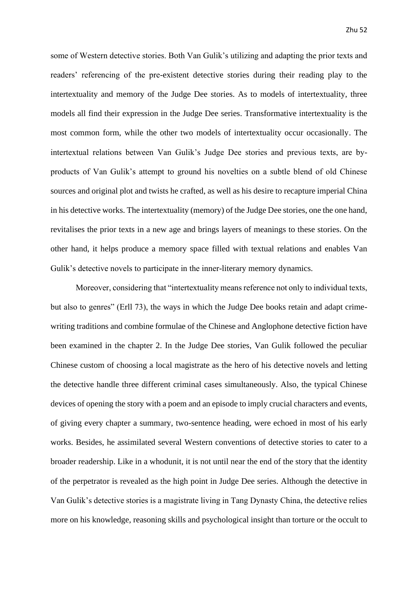some of Western detective stories. Both Van Gulik's utilizing and adapting the prior texts and readers' referencing of the pre-existent detective stories during their reading play to the intertextuality and memory of the Judge Dee stories. As to models of intertextuality, three models all find their expression in the Judge Dee series. Transformative intertextuality is the most common form, while the other two models of intertextuality occur occasionally. The intertextual relations between Van Gulik's Judge Dee stories and previous texts, are byproducts of Van Gulik's attempt to ground his novelties on a subtle blend of old Chinese sources and original plot and twists he crafted, as well as his desire to recapture imperial China in his detective works. The intertextuality (memory) of the Judge Dee stories, one the one hand, revitalises the prior texts in a new age and brings layers of meanings to these stories. On the other hand, it helps produce a memory space filled with textual relations and enables Van Gulik's detective novels to participate in the inner-literary memory dynamics.

Moreover, considering that "intertextuality means reference not only to individual texts, but also to genres" (Erll 73), the ways in which the Judge Dee books retain and adapt crimewriting traditions and combine formulae of the Chinese and Anglophone detective fiction have been examined in the chapter 2. In the Judge Dee stories, Van Gulik followed the peculiar Chinese custom of choosing a local magistrate as the hero of his detective novels and letting the detective handle three different criminal cases simultaneously. Also, the typical Chinese devices of opening the story with a poem and an episode to imply crucial characters and events, of giving every chapter a summary, two-sentence heading, were echoed in most of his early works. Besides, he assimilated several Western conventions of detective stories to cater to a broader readership. Like in a whodunit, it is not until near the end of the story that the identity of the perpetrator is revealed as the high point in Judge Dee series. Although the detective in Van Gulik's detective stories is a magistrate living in Tang Dynasty China, the detective relies more on his knowledge, reasoning skills and psychological insight than torture or the occult to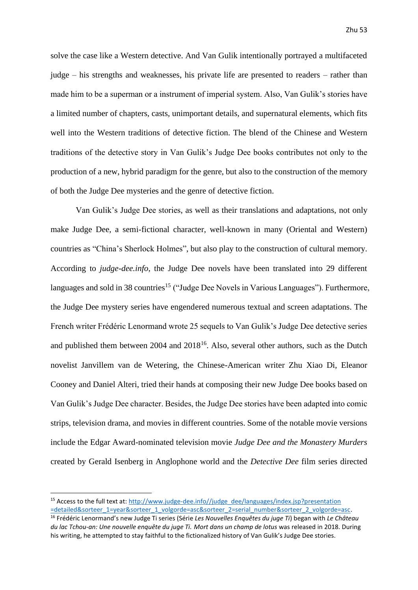solve the case like a Western detective. And Van Gulik intentionally portrayed a multifaceted judge – his strengths and weaknesses, his private life are presented to readers – rather than made him to be a superman or a instrument of imperial system. Also, Van Gulik's stories have a limited number of chapters, casts, unimportant details, and supernatural elements, which fits well into the Western traditions of detective fiction. The blend of the Chinese and Western traditions of the detective story in Van Gulik's Judge Dee books contributes not only to the production of a new, hybrid paradigm for the genre, but also to the construction of the memory of both the Judge Dee mysteries and the genre of detective fiction.

Van Gulik's Judge Dee stories, as well as their translations and adaptations, not only make Judge Dee, a semi-fictional character, well-known in many (Oriental and Western) countries as "China's Sherlock Holmes", but also play to the construction of cultural memory. According to *judge-dee.info*, the Judge Dee novels have been translated into 29 different languages and sold in 38 countries<sup>15</sup> ("Judge Dee Novels in Various Languages"). Furthermore, the Judge Dee mystery series have engendered numerous textual and screen adaptations. The French writer Frédéric Lenormand wrote 25 sequels to Van Gulik's Judge Dee detective series and published them between  $2004$  and  $2018^{16}$ . Also, several other authors, such as the Dutch novelist Janvillem van de Wetering, the Chinese-American writer Zhu Xiao Di, Eleanor Cooney and Daniel Alteri, tried their hands at composing their new Judge Dee books based on Van Gulik's Judge Dee character. Besides, the Judge Dee stories have been adapted into comic strips, television drama, and movies in different countries. Some of the notable movie versions include the Edgar Award-nominated television movie *Judge Dee and the Monastery Murders* created by Gerald Isenberg in Anglophone world and the *Detective Dee* film series directed

<sup>&</sup>lt;sup>15</sup> Access to the full text at: http://www.judge-dee.info//judge\_dee/languages/index.jsp?presentation [=detailed&sorteer\\_1=year&sorteer\\_1\\_volgorde=asc&sorteer\\_2=serial\\_number&sorteer\\_2\\_volgorde=asc.](http://www.judge-dee.info/judge_dee/languages/index.jsp?presentation%20=detailed&sorteer_1=year&sorteer_1_volgorde=asc&sorteer_2=serial_number&sorteer_2_volgorde=asc) 

<sup>16</sup> Frédéric Lenormand's new Judge Ti series (Série *Les Nouvelles Enquêtes du juge Ti*) began with *Le Château du lac Tchou-an: Une nouvelle enquête du juge Ti. Mort dans un champ de lotus* was released in 2018. During his writing, he attempted to stay faithful to the fictionalized history of Van Gulik's Judge Dee stories.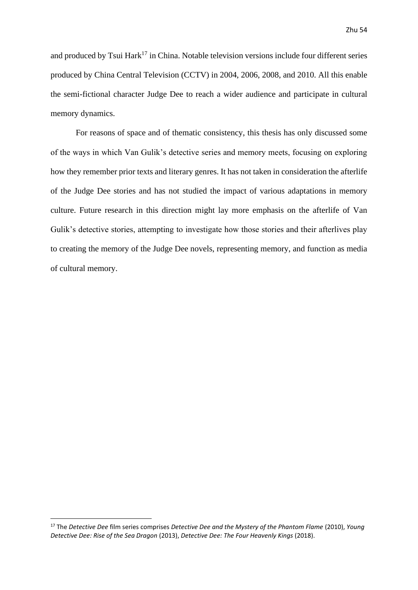and produced by Tsui  $Hark^{17}$  in China. Notable television versions include four different series produced by China Central Television (CCTV) in 2004, 2006, 2008, and 2010. All this enable the semi-fictional character Judge Dee to reach a wider audience and participate in cultural memory dynamics.

For reasons of space and of thematic consistency, this thesis has only discussed some of the ways in which Van Gulik's detective series and memory meets, focusing on exploring how they remember prior texts and literary genres. It has not taken in consideration the afterlife of the Judge Dee stories and has not studied the impact of various adaptations in memory culture. Future research in this direction might lay more emphasis on the afterlife of Van Gulik's detective stories, attempting to investigate how those stories and their afterlives play to creating the memory of the Judge Dee novels, representing memory, and function as media of cultural memory.

<sup>17</sup> The *Detective Dee* film series comprises *Detective Dee and the Mystery of the Phantom Flame* (2010), *Young Detective Dee: Rise of the Sea Dragon* (2013), *Detective Dee: The Four Heavenly Kings* (2018).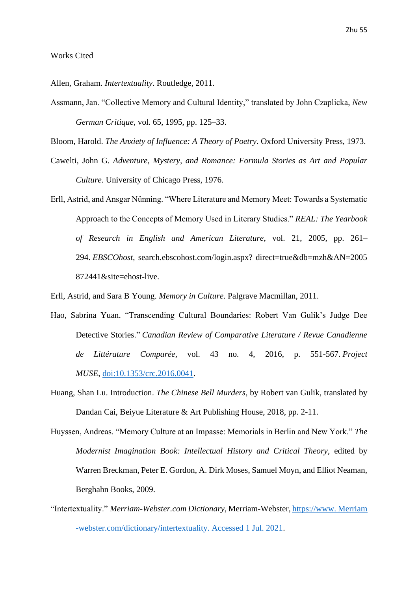### <span id="page-55-0"></span>Works Cited

Allen, Graham. *Intertextuality*. Routledge, 2011.

Assmann, Jan. "Collective Memory and Cultural Identity," translated by John Czaplicka, *New German Critique*, vol. 65, 1995, pp. 125–33.

Bloom, Harold. *The Anxiety of Influence: A Theory of Poetry*. Oxford University Press, 1973.

- Cawelti, John G. *Adventure, Mystery, and Romance: Formula Stories as Art and Popular Culture*. University of Chicago Press, 1976.
- Erll, Astrid, and Ansgar Nünning. "Where Literature and Memory Meet: Towards a Systematic Approach to the Concepts of Memory Used in Literary Studies." *REAL: The Yearbook of Research in English and American Literature*, vol. 21, 2005, pp. 261– 294. *EBSCOhost*, search.ebscohost.com/login.aspx? direct=true&db=mzh&AN=2005 872441&site=ehost-live.

Erll, Astrid, and Sara B Young. *Memory in Culture*. Palgrave Macmillan, 2011.

- Hao, Sabrina Yuan. "Transcending Cultural Boundaries: Robert Van Gulik's Judge Dee Detective Stories." *Canadian Review of Comparative Literature / Revue Canadienne de Littérature Comparée*, vol. 43 no. 4, 2016, p. 551-567. *Project MUSE*, [doi:10.1353/crc.2016.0041.](http://doi.org/10.1353/crc.2016.0041)
- Huang, Shan Lu. Introduction. *The Chinese Bell Murders*, by Robert van Gulik, translated by Dandan Cai, Beiyue Literature & Art Publishing House, 2018, pp. 2-11.
- Huyssen, Andreas. "Memory Culture at an Impasse: Memorials in Berlin and New York." *The Modernist Imagination Book: Intellectual History and Critical Theory*, edited by Warren Breckman, Peter E. Gordon, A. Dirk Moses, Samuel Moyn, and Elliot Neaman, Berghahn Books, 2009.
- "Intertextuality." *Merriam-Webster.com Dictionary*, Merriam-Webster, https://www. Merriam -webster.com/dictionary/intertextuality. Accessed 1 Jul. 2021.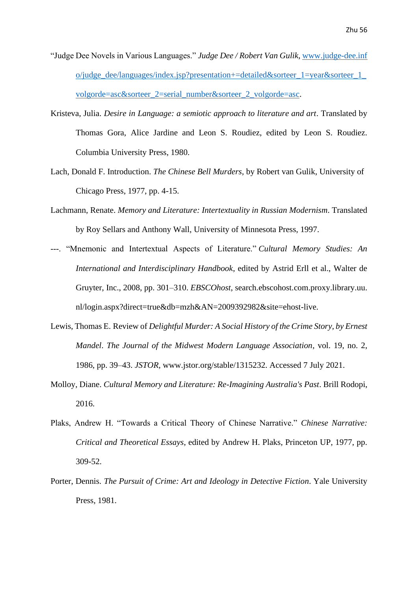- "Judge Dee Novels in Various Languages." *Judge Dee / Robert Van Gulik*, www.judge-dee.inf o/judge\_dee/languages/index.jsp?presentation+=detailed&sorteer\_1=year&sorteer\_1\_ volgorde=asc&sorteer\_2=serial\_number&sorteer\_2\_volgorde=asc.
- Kristeva, Julia. *Desire in Language: a semiotic approach to literature and art*. Translated by Thomas Gora, Alice Jardine and Leon S. Roudiez, edited by Leon S. Roudiez. Columbia University Press, 1980.
- Lach, Donald F. Introduction. *The Chinese Bell Murders*, by Robert van Gulik, University of Chicago Press, 1977, pp. 4-15.
- Lachmann, Renate. *Memory and Literature: Intertextuality in Russian Modernism*. Translated by Roy Sellars and Anthony Wall, University of Minnesota Press, 1997.
- ---. "Mnemonic and Intertextual Aspects of Literature." *Cultural Memory Studies: An International and Interdisciplinary Handbook*, edited by Astrid Erll et al., Walter de Gruyter, Inc., 2008, pp. 301–310. *EBSCOhost*, search.ebscohost.com.proxy.library.uu. nl/login.aspx?direct=true&db=mzh&AN=2009392982&site=ehost-live.
- Lewis, Thomas E. Review of *Delightful Murder: A Social History of the Crime Story, by Ernest Mandel*. *The Journal of the Midwest Modern Language Association*, vol. 19, no. 2, 1986, pp. 39–43. *JSTOR*, www.jstor.org/stable/1315232. Accessed 7 July 2021.
- Molloy, Diane. *Cultural Memory and Literature: Re-Imagining Australia's Past*. Brill Rodopi, 2016.
- Plaks, Andrew H. "Towards a Critical Theory of Chinese Narrative." *Chinese Narrative: Critical and Theoretical Essays*, edited by Andrew H. Plaks, Princeton UP, 1977, pp. 309-52.
- Porter, Dennis. *The Pursuit of Crime: Art and Ideology in Detective Fiction*. Yale University Press, 1981.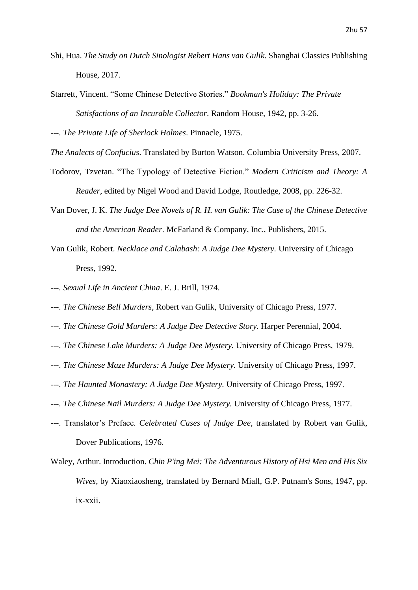- Shi, Hua. *The Study on Dutch Sinologist Rebert Hans van Gulik*. Shanghai Classics Publishing House, 2017.
- Starrett, Vincent. "Some Chinese Detective Stories." *Bookman's Holiday: The Private Satisfactions of an Incurable Collector*. Random House, 1942, pp. 3-26.

---. *The Private Life of Sherlock Holmes*. Pinnacle, 1975.

- *The Analects of Confucius*. Translated by Burton Watson. Columbia University Press, 2007.
- Todorov, Tzvetan. "The Typology of Detective Fiction." *Modern Criticism and Theory: A Reader*, edited by Nigel Wood and David Lodge, Routledge, 2008, pp. 226-32.
- Van Dover, J. K. *The Judge Dee Novels of R. H. van Gulik: The Case of the Chinese Detective and the American Reader*. McFarland & Company, Inc., Publishers, 2015.
- Van Gulik, Robert. *Necklace and Calabash: A Judge Dee Mystery.* University of Chicago Press, 1992.
- ---. *Sexual Life in Ancient China*. E. J. Brill, 1974.
- ---. *The Chinese Bell Murders*, Robert van Gulik, University of Chicago Press, 1977.
- ---. *The Chinese Gold Murders: A Judge Dee Detective Story.* Harper Perennial, 2004.
- ---. *The Chinese Lake Murders: A Judge Dee Mystery.* University of Chicago Press, 1979.
- ---. *The Chinese Maze Murders: A Judge Dee Mystery.* University of Chicago Press, 1997.
- ---. *The Haunted Monastery: A Judge Dee Mystery.* University of Chicago Press, 1997.
- ---. *The Chinese Nail Murders: A Judge Dee Mystery.* University of Chicago Press, 1977.
- ---. Translator's Preface. *Celebrated Cases of Judge Dee*, translated by Robert van Gulik, Dover Publications, 1976.
- Waley, Arthur. Introduction. *Chin P'ing Mei: The Adventurous History of Hsi Men and His Six Wives*, by Xiaoxiaosheng, translated by Bernard Miall, G.P. Putnam's Sons, 1947, pp. ix-xxii.